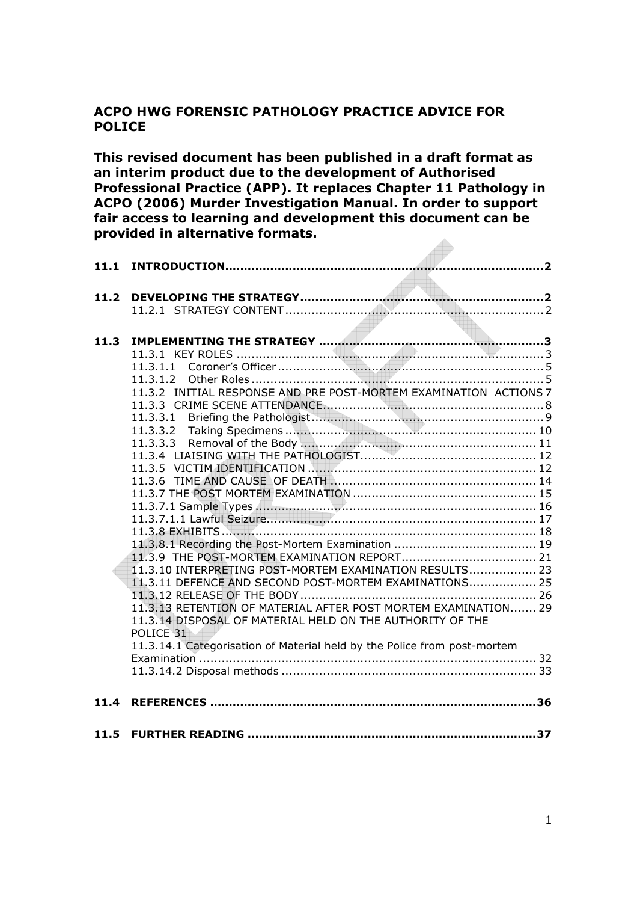#### ACPO HWG FORENSIC PATHOLOGY PRACTICE ADVICE FOR POLICE

This revised document has been published in a draft format as an interim product due to the development of Authorised Professional Practice (APP). It replaces Chapter 11 Pathology in ACPO (2006) Murder Investigation Manual. In order to support fair access to learning and development this document can be provided in alternative formats.

| 11.2 |                                                                                                                                                                                                    |
|------|----------------------------------------------------------------------------------------------------------------------------------------------------------------------------------------------------|
| 11.3 |                                                                                                                                                                                                    |
|      | 11.3.1.1<br>11.3.1.2<br>11.3.2 INITIAL RESPONSE AND PRE POST-MORTEM EXAMINATION ACTIONS 7                                                                                                          |
|      |                                                                                                                                                                                                    |
|      |                                                                                                                                                                                                    |
|      |                                                                                                                                                                                                    |
|      | 11.3.10 INTERPRETING POST-MORTEM EXAMINATION RESULTS 23                                                                                                                                            |
|      | 11.3.11 DEFENCE AND SECOND POST-MORTEM EXAMINATIONS 25<br>11.3.13 RETENTION OF MATERIAL AFTER POST MORTEM EXAMINATION 29<br>11.3.14 DISPOSAL OF MATERIAL HELD ON THE AUTHORITY OF THE<br>POLICE 31 |
|      | 11.3.14.1 Categorisation of Material held by the Police from post-mortem                                                                                                                           |
| 11.4 |                                                                                                                                                                                                    |
|      |                                                                                                                                                                                                    |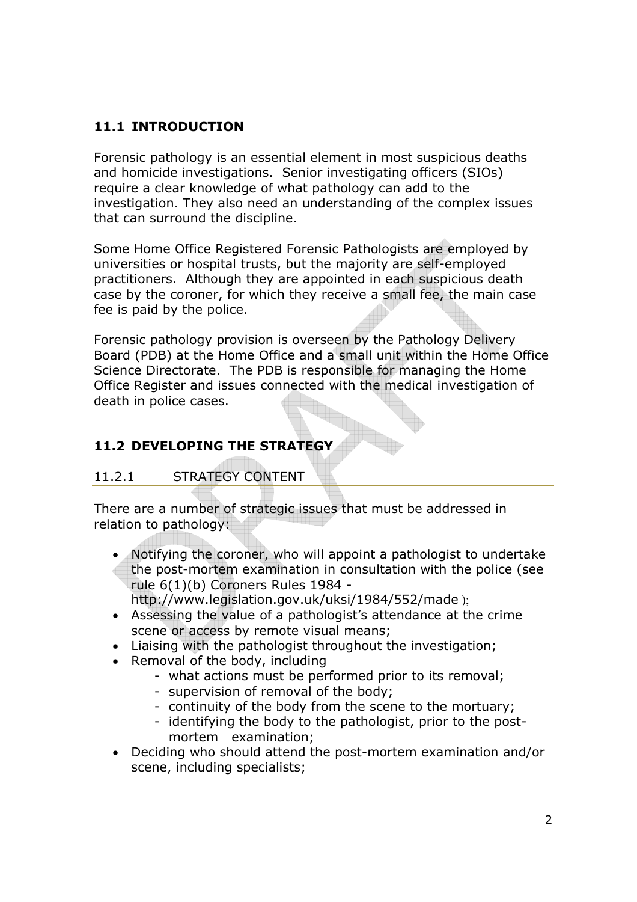# 11.1 INTRODUCTION

Forensic pathology is an essential element in most suspicious deaths and homicide investigations. Senior investigating officers (SIOs) require a clear knowledge of what pathology can add to the investigation. They also need an understanding of the complex issues that can surround the discipline.

Some Home Office Registered Forensic Pathologists are employed by universities or hospital trusts, but the majority are self-employed practitioners. Although they are appointed in each suspicious death case by the coroner, for which they receive a small fee, the main case fee is paid by the police.

Forensic pathology provision is overseen by the Pathology Delivery Board (PDB) at the Home Office and a small unit within the Home Office Science Directorate. The PDB is responsible for managing the Home Office Register and issues connected with the medical investigation of death in police cases.

# 11.2 DEVELOPING THE STRATEGY

# 11.2.1 STRATEGY CONTENT

There are a number of strategic issues that must be addressed in relation to pathology:

• Notifying the coroner, who will appoint a pathologist to undertake the post-mortem examination in consultation with the police (see rule 6(1)(b) Coroners Rules 1984 -

http://www.legislation.gov.uk/uksi/1984/552/made );

- Assessing the value of a pathologist's attendance at the crime scene or access by remote visual means;
- Liaising with the pathologist throughout the investigation;
- Removal of the body, including
	- what actions must be performed prior to its removal;
	- supervision of removal of the body;
	- continuity of the body from the scene to the mortuary;
	- identifying the body to the pathologist, prior to the postmortem examination;
- Deciding who should attend the post-mortem examination and/or scene, including specialists;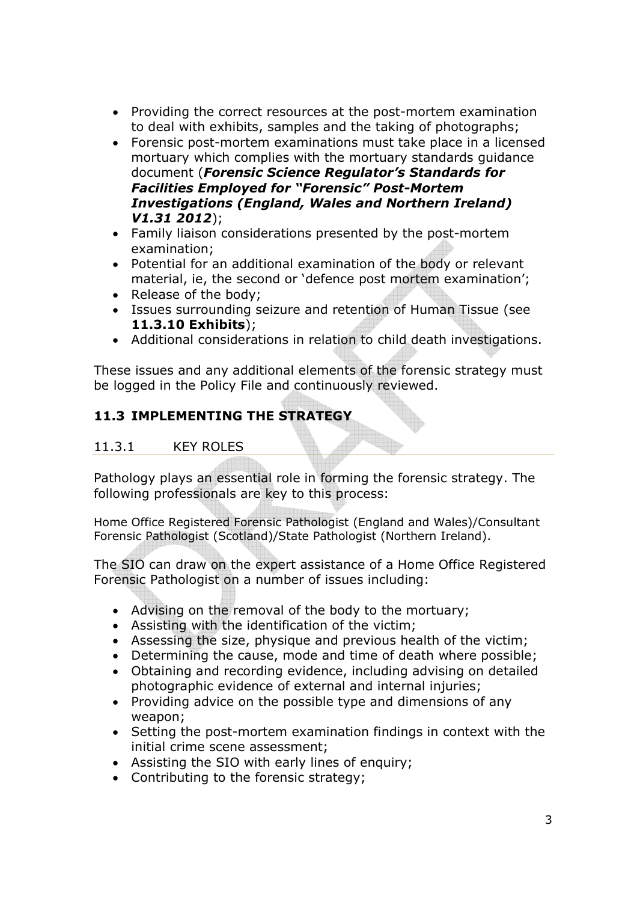- Providing the correct resources at the post-mortem examination to deal with exhibits, samples and the taking of photographs;
- Forensic post-mortem examinations must take place in a licensed mortuary which complies with the mortuary standards guidance document (Forensic Science Regulator's Standards for Facilities Employed for "Forensic" Post-Mortem Investigations (England, Wales and Northern Ireland) V1.31 2012);
- Family liaison considerations presented by the post-mortem examination;
- Potential for an additional examination of the body or relevant material, ie, the second or 'defence post mortem examination';
- Release of the body;
- Issues surrounding seizure and retention of Human Tissue (see 11.3.10 Exhibits);
- Additional considerations in relation to child death investigations.

These issues and any additional elements of the forensic strategy must be logged in the Policy File and continuously reviewed.

# 11.3 IMPLEMENTING THE STRATEGY

## 11.3.1 KEY ROLES

Pathology plays an essential role in forming the forensic strategy. The following professionals are key to this process:

Home Office Registered Forensic Pathologist (England and Wales)/Consultant Forensic Pathologist (Scotland)/State Pathologist (Northern Ireland).

The SIO can draw on the expert assistance of a Home Office Registered Forensic Pathologist on a number of issues including:

- Advising on the removal of the body to the mortuary;
- Assisting with the identification of the victim;
- Assessing the size, physique and previous health of the victim;
- Determining the cause, mode and time of death where possible;
- Obtaining and recording evidence, including advising on detailed photographic evidence of external and internal injuries;
- Providing advice on the possible type and dimensions of any weapon;
- Setting the post-mortem examination findings in context with the initial crime scene assessment;
- Assisting the SIO with early lines of enquiry;
- Contributing to the forensic strategy;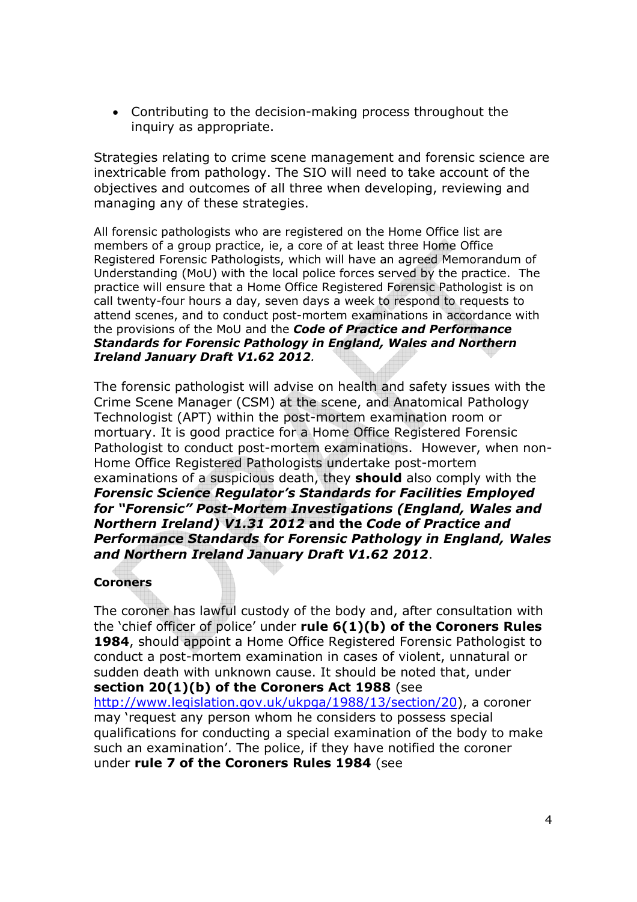• Contributing to the decision-making process throughout the inquiry as appropriate.

Strategies relating to crime scene management and forensic science are inextricable from pathology. The SIO will need to take account of the objectives and outcomes of all three when developing, reviewing and managing any of these strategies.

All forensic pathologists who are registered on the Home Office list are members of a group practice, ie, a core of at least three Home Office Registered Forensic Pathologists, which will have an agreed Memorandum of Understanding (MoU) with the local police forces served by the practice. The practice will ensure that a Home Office Registered Forensic Pathologist is on call twenty-four hours a day, seven days a week to respond to requests to attend scenes, and to conduct post-mortem examinations in accordance with the provisions of the MoU and the **Code of Practice and Performance** Standards for Forensic Pathology in England, Wales and Northern Ireland January Draft V1.62 2012.

The forensic pathologist will advise on health and safety issues with the Crime Scene Manager (CSM) at the scene, and Anatomical Pathology Technologist (APT) within the post-mortem examination room or mortuary. It is good practice for a Home Office Registered Forensic Pathologist to conduct post-mortem examinations. However, when non-Home Office Registered Pathologists undertake post-mortem examinations of a suspicious death, they **should** also comply with the Forensic Science Regulator's Standards for Facilities Employed for "Forensic" Post-Mortem Investigations (England, Wales and Northern Ireland) V1.31 2012 and the Code of Practice and Performance Standards for Forensic Pathology in England, Wales and Northern Ireland January Draft V1.62 2012.

#### Coroners

The coroner has lawful custody of the body and, after consultation with the 'chief officer of police' under rule  $6(1)(b)$  of the Coroners Rules 1984, should appoint a Home Office Registered Forensic Pathologist to conduct a post-mortem examination in cases of violent, unnatural or sudden death with unknown cause. It should be noted that, under section 20(1)(b) of the Coroners Act 1988 (see http://www.legislation.gov.uk/ukpga/1988/13/section/20), a coroner may 'request any person whom he considers to possess special qualifications for conducting a special examination of the body to make such an examination'. The police, if they have notified the coroner under rule 7 of the Coroners Rules 1984 (see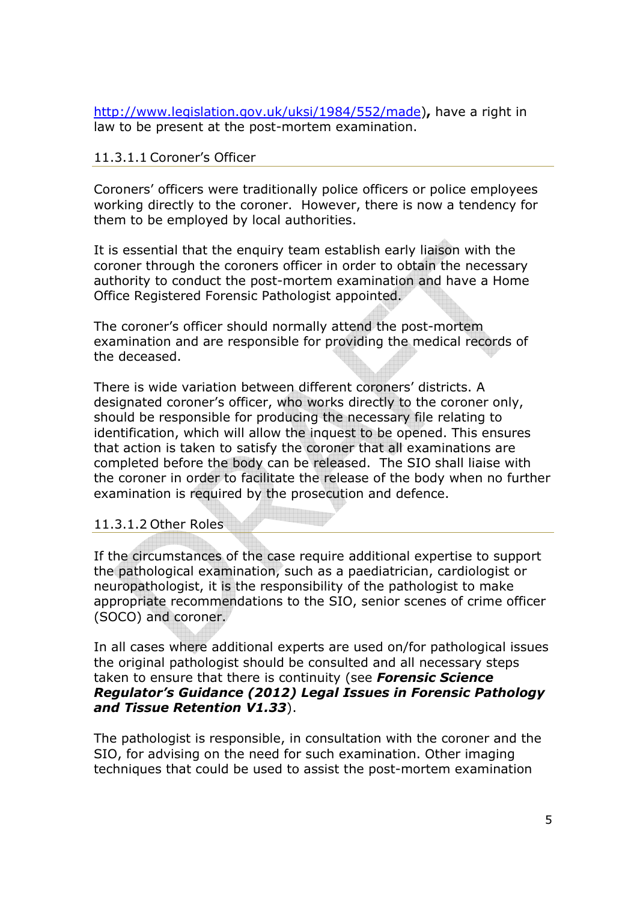http://www.legislation.gov.uk/uksi/1984/552/made), have a right in law to be present at the post-mortem examination.

#### 11.3.1.1 Coroner's Officer

Coroners' officers were traditionally police officers or police employees working directly to the coroner. However, there is now a tendency for them to be employed by local authorities.

It is essential that the enquiry team establish early liaison with the coroner through the coroners officer in order to obtain the necessary authority to conduct the post-mortem examination and have a Home Office Registered Forensic Pathologist appointed.

The coroner's officer should normally attend the post-mortem examination and are responsible for providing the medical records of the deceased.

There is wide variation between different coroners' districts. A designated coroner's officer, who works directly to the coroner only, should be responsible for producing the necessary file relating to identification, which will allow the inquest to be opened. This ensures that action is taken to satisfy the coroner that all examinations are completed before the body can be released. The SIO shall liaise with the coroner in order to facilitate the release of the body when no further examination is required by the prosecution and defence.

#### 11.3.1.2 Other Roles

If the circumstances of the case require additional expertise to support the pathological examination, such as a paediatrician, cardiologist or neuropathologist, it is the responsibility of the pathologist to make appropriate recommendations to the SIO, senior scenes of crime officer (SOCO) and coroner.

In all cases where additional experts are used on/for pathological issues the original pathologist should be consulted and all necessary steps taken to ensure that there is continuity (see Forensic Science Regulator's Guidance (2012) Legal Issues in Forensic Pathology and Tissue Retention V1.33).

The pathologist is responsible, in consultation with the coroner and the SIO, for advising on the need for such examination. Other imaging techniques that could be used to assist the post-mortem examination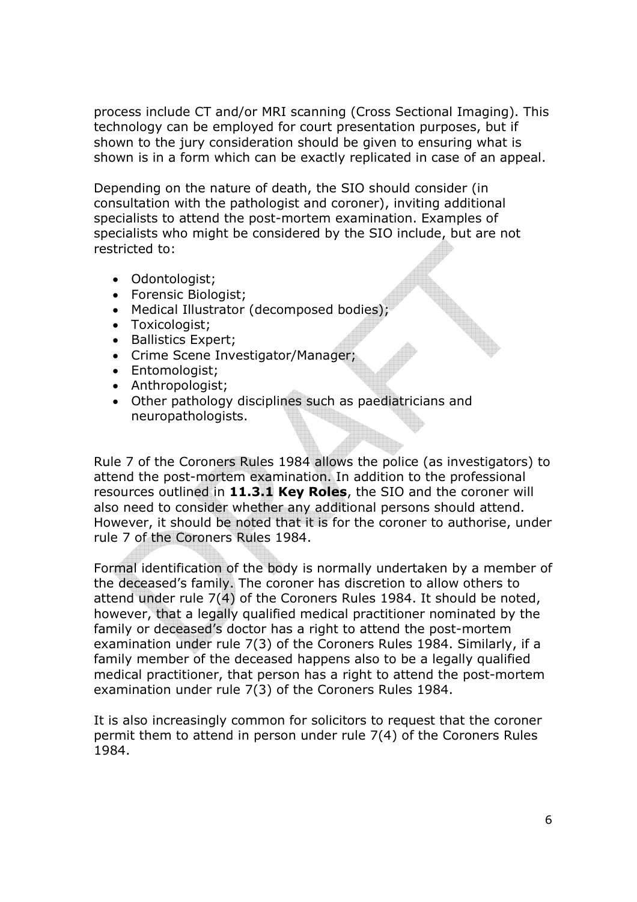process include CT and/or MRI scanning (Cross Sectional Imaging). This technology can be employed for court presentation purposes, but if shown to the jury consideration should be given to ensuring what is shown is in a form which can be exactly replicated in case of an appeal.

Depending on the nature of death, the SIO should consider (in consultation with the pathologist and coroner), inviting additional specialists to attend the post-mortem examination. Examples of specialists who might be considered by the SIO include, but are not restricted to:

- Odontologist;
- Forensic Biologist;
- Medical Illustrator (decomposed bodies);
- Toxicologist;
- Ballistics Expert;
- Crime Scene Investigator/Manager;
- Entomologist;
- Anthropologist;
- Other pathology disciplines such as paediatricians and neuropathologists.

Rule 7 of the Coroners Rules 1984 allows the police (as investigators) to attend the post-mortem examination. In addition to the professional resources outlined in 11.3.1 Key Roles, the SIO and the coroner will also need to consider whether any additional persons should attend. However, it should be noted that it is for the coroner to authorise, under rule 7 of the Coroners Rules 1984.

Formal identification of the body is normally undertaken by a member of the deceased's family. The coroner has discretion to allow others to attend under rule 7(4) of the Coroners Rules 1984. It should be noted, however, that a legally qualified medical practitioner nominated by the family or deceased's doctor has a right to attend the post-mortem examination under rule 7(3) of the Coroners Rules 1984. Similarly, if a family member of the deceased happens also to be a legally qualified medical practitioner, that person has a right to attend the post-mortem examination under rule 7(3) of the Coroners Rules 1984.

It is also increasingly common for solicitors to request that the coroner permit them to attend in person under rule 7(4) of the Coroners Rules 1984.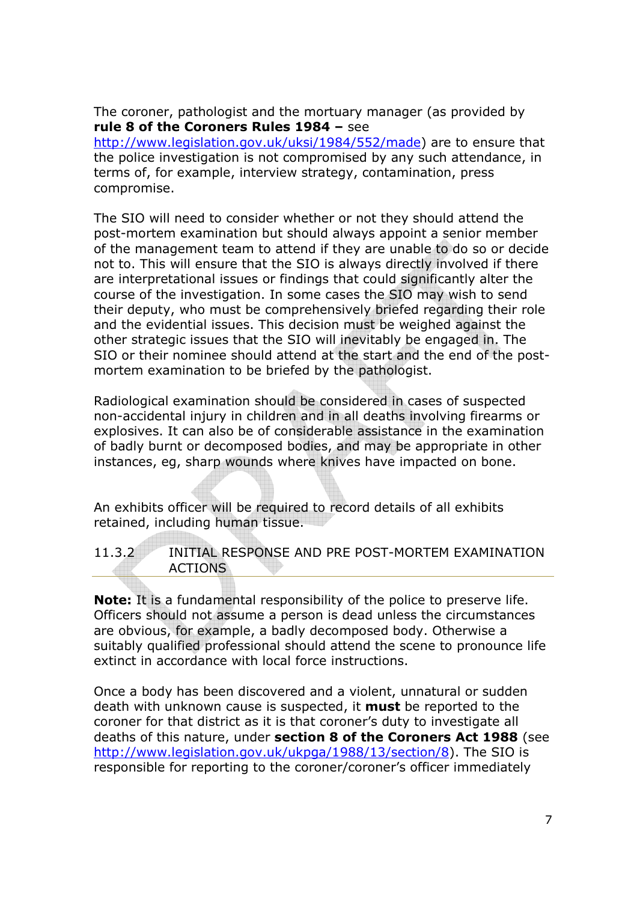The coroner, pathologist and the mortuary manager (as provided by rule 8 of the Coroners Rules 1984 – see

http://www.legislation.gov.uk/uksi/1984/552/made) are to ensure that the police investigation is not compromised by any such attendance, in terms of, for example, interview strategy, contamination, press compromise.

The SIO will need to consider whether or not they should attend the post-mortem examination but should always appoint a senior member of the management team to attend if they are unable to do so or decide not to. This will ensure that the SIO is always directly involved if there are interpretational issues or findings that could significantly alter the course of the investigation. In some cases the SIO may wish to send their deputy, who must be comprehensively briefed regarding their role and the evidential issues. This decision must be weighed against the other strategic issues that the SIO will inevitably be engaged in. The SIO or their nominee should attend at the start and the end of the postmortem examination to be briefed by the pathologist.

Radiological examination should be considered in cases of suspected non-accidental injury in children and in all deaths involving firearms or explosives. It can also be of considerable assistance in the examination of badly burnt or decomposed bodies, and may be appropriate in other instances, eg, sharp wounds where knives have impacted on bone.

An exhibits officer will be required to record details of all exhibits retained, including human tissue.

11.3.2 INITIAL RESPONSE AND PRE POST-MORTEM EXAMINATION ACTIONS

**Note:** It is a fundamental responsibility of the police to preserve life. Officers should not assume a person is dead unless the circumstances are obvious, for example, a badly decomposed body. Otherwise a suitably qualified professional should attend the scene to pronounce life extinct in accordance with local force instructions.

Once a body has been discovered and a violent, unnatural or sudden death with unknown cause is suspected, it **must** be reported to the coroner for that district as it is that coroner's duty to investigate all deaths of this nature, under section 8 of the Coroners Act 1988 (see http://www.legislation.gov.uk/ukpga/1988/13/section/8). The SIO is responsible for reporting to the coroner/coroner's officer immediately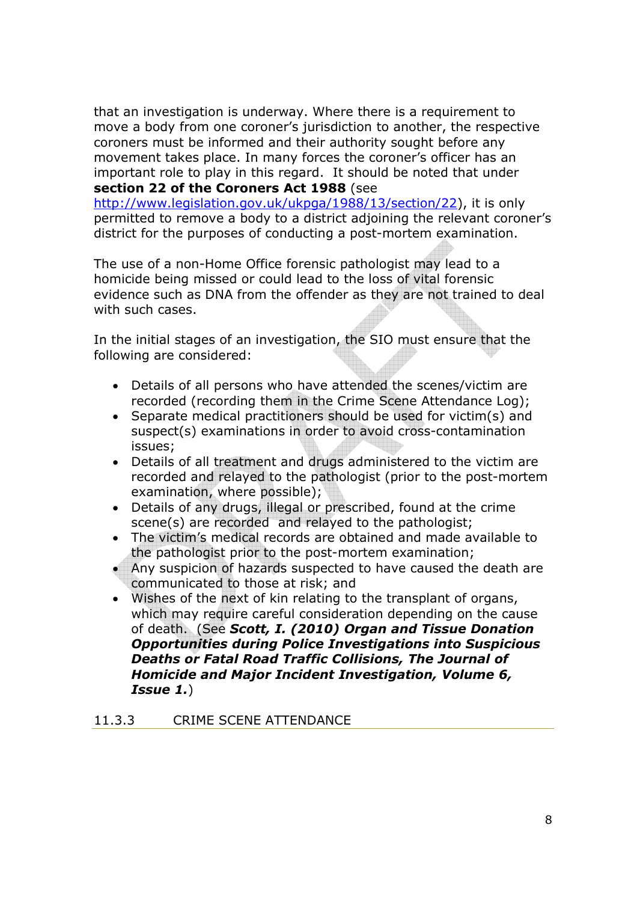that an investigation is underway. Where there is a requirement to move a body from one coroner's jurisdiction to another, the respective coroners must be informed and their authority sought before any movement takes place. In many forces the coroner's officer has an important role to play in this regard. It should be noted that under section 22 of the Coroners Act 1988 (see

http://www.legislation.gov.uk/ukpga/1988/13/section/22), it is only permitted to remove a body to a district adjoining the relevant coroner's district for the purposes of conducting a post-mortem examination.

The use of a non-Home Office forensic pathologist may lead to a homicide being missed or could lead to the loss of vital forensic evidence such as DNA from the offender as they are not trained to deal with such cases.

In the initial stages of an investigation, the SIO must ensure that the following are considered:

- Details of all persons who have attended the scenes/victim are recorded (recording them in the Crime Scene Attendance Log);
- Separate medical practitioners should be used for victim(s) and suspect(s) examinations in order to avoid cross-contamination issues;
- Details of all treatment and drugs administered to the victim are recorded and relayed to the pathologist (prior to the post-mortem examination, where possible);
- Details of any drugs, illegal or prescribed, found at the crime scene(s) are recorded and relayed to the pathologist:
- The victim's medical records are obtained and made available to the pathologist prior to the post-mortem examination;
- Any suspicion of hazards suspected to have caused the death are communicated to those at risk; and
- Wishes of the next of kin relating to the transplant of organs, which may require careful consideration depending on the cause of death. (See Scott, I. (2010) Organ and Tissue Donation Opportunities during Police Investigations into Suspicious Deaths or Fatal Road Traffic Collisions, The Journal of Homicide and Major Incident Investigation, Volume 6, Issue 1.)

#### 11.3.3 CRIME SCENE ATTENDANCE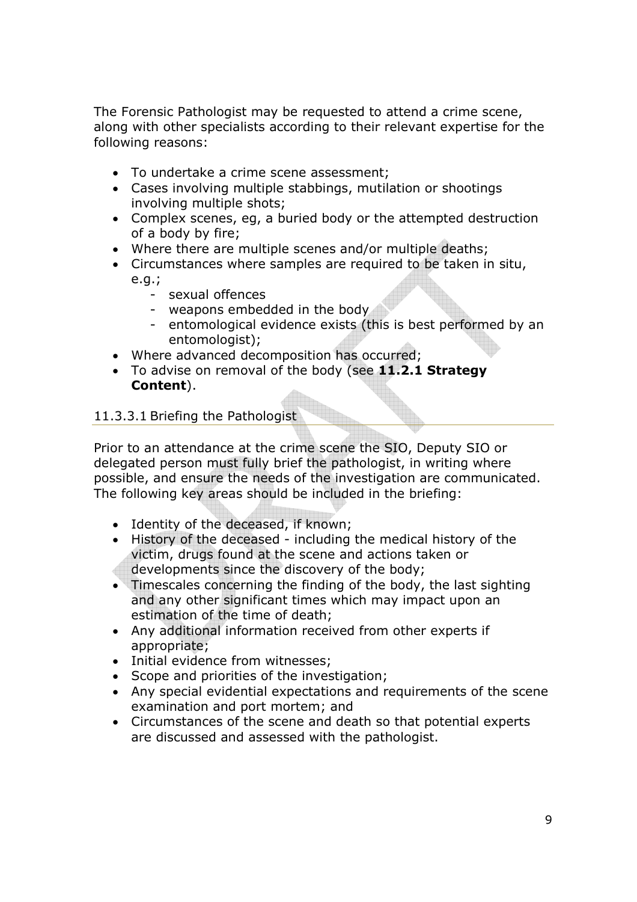The Forensic Pathologist may be requested to attend a crime scene, along with other specialists according to their relevant expertise for the following reasons:

- To undertake a crime scene assessment;
- Cases involving multiple stabbings, mutilation or shootings involving multiple shots;
- Complex scenes, eg, a buried body or the attempted destruction of a body by fire;
- Where there are multiple scenes and/or multiple deaths;
- Circumstances where samples are required to be taken in situ, e.g.;
	- sexual offences
	- weapons embedded in the body
	- entomological evidence exists (this is best performed by an entomologist);
- Where advanced decomposition has occurred;
- To advise on removal of the body (see 11.2.1 Strategy Content).

## 11.3.3.1 Briefing the Pathologist

Prior to an attendance at the crime scene the SIO, Deputy SIO or delegated person must fully brief the pathologist, in writing where possible, and ensure the needs of the investigation are communicated. The following key areas should be included in the briefing:

- Identity of the deceased, if known;
- History of the deceased including the medical history of the victim, drugs found at the scene and actions taken or
- developments since the discovery of the body;
- Timescales concerning the finding of the body, the last sighting and any other significant times which may impact upon an estimation of the time of death;
- Any additional information received from other experts if appropriate;
- Initial evidence from witnesses;
- Scope and priorities of the investigation;
- Any special evidential expectations and requirements of the scene examination and port mortem; and
- Circumstances of the scene and death so that potential experts are discussed and assessed with the pathologist.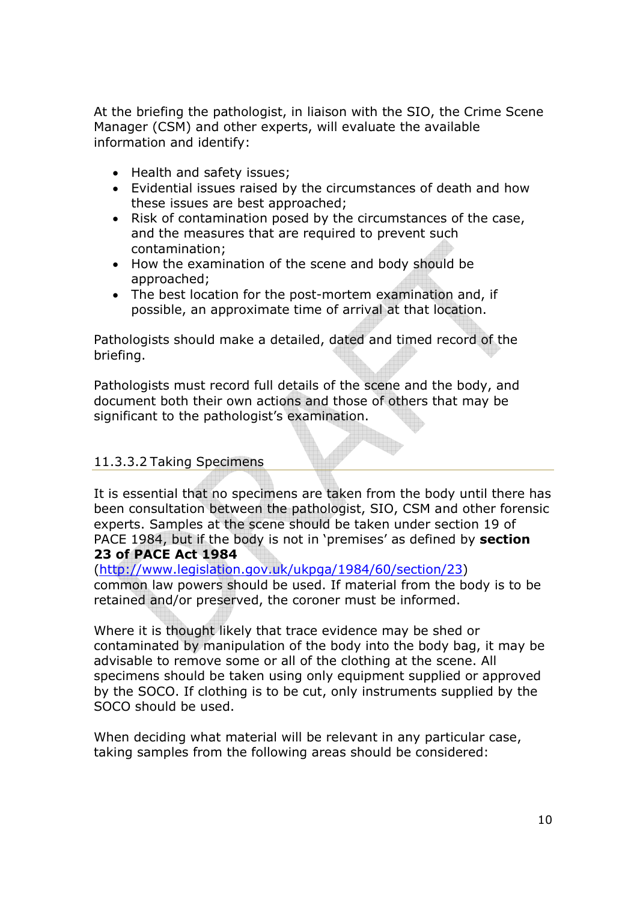At the briefing the pathologist, in liaison with the SIO, the Crime Scene Manager (CSM) and other experts, will evaluate the available information and identify:

- Health and safety issues;
- Evidential issues raised by the circumstances of death and how these issues are best approached;
- Risk of contamination posed by the circumstances of the case, and the measures that are required to prevent such contamination;
- How the examination of the scene and body should be approached;
- The best location for the post-mortem examination and, if possible, an approximate time of arrival at that location.

Pathologists should make a detailed, dated and timed record of the briefing.

Pathologists must record full details of the scene and the body, and document both their own actions and those of others that may be significant to the pathologist's examination.

# 11.3.3.2 Taking Specimens

It is essential that no specimens are taken from the body until there has been consultation between the pathologist, SIO, CSM and other forensic experts. Samples at the scene should be taken under section 19 of PACE 1984, but if the body is not in 'premises' as defined by section 23 of PACE Act 1984

(http://www.legislation.gov.uk/ukpga/1984/60/section/23) common law powers should be used. If material from the body is to be retained and/or preserved, the coroner must be informed.

Where it is thought likely that trace evidence may be shed or contaminated by manipulation of the body into the body bag, it may be advisable to remove some or all of the clothing at the scene. All specimens should be taken using only equipment supplied or approved by the SOCO. If clothing is to be cut, only instruments supplied by the SOCO should be used.

When deciding what material will be relevant in any particular case, taking samples from the following areas should be considered: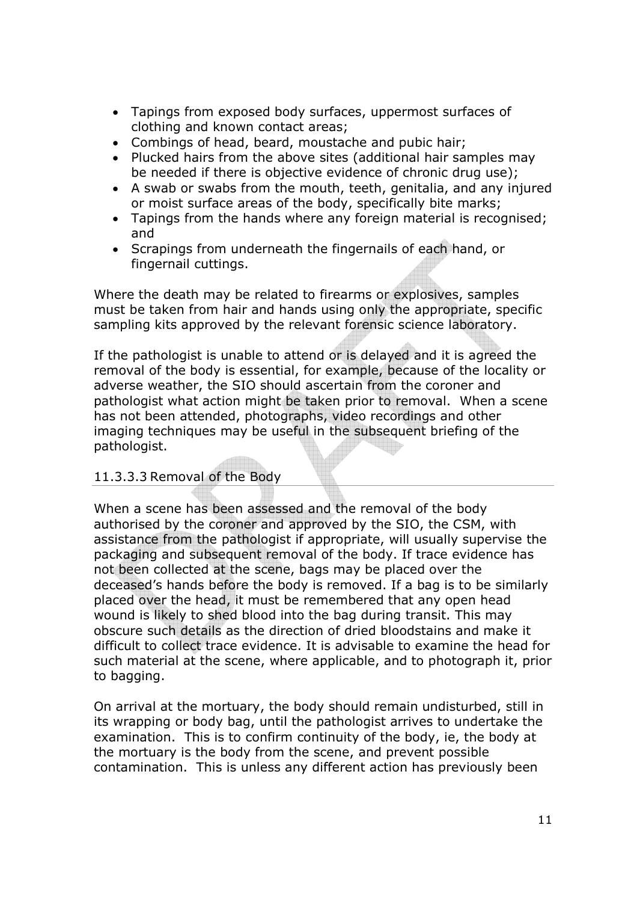- Tapings from exposed body surfaces, uppermost surfaces of clothing and known contact areas;
- Combings of head, beard, moustache and pubic hair;
- Plucked hairs from the above sites (additional hair samples may be needed if there is objective evidence of chronic drug use);
- A swab or swabs from the mouth, teeth, genitalia, and any injured or moist surface areas of the body, specifically bite marks;
- Tapings from the hands where any foreign material is recognised; and
- Scrapings from underneath the fingernails of each hand, or fingernail cuttings.

Where the death may be related to firearms or explosives, samples must be taken from hair and hands using only the appropriate, specific sampling kits approved by the relevant forensic science laboratory.

If the pathologist is unable to attend or is delayed and it is agreed the removal of the body is essential, for example, because of the locality or adverse weather, the SIO should ascertain from the coroner and pathologist what action might be taken prior to removal. When a scene has not been attended, photographs, video recordings and other imaging techniques may be useful in the subsequent briefing of the pathologist.

# 11.3.3.3 Removal of the Body

When a scene has been assessed and the removal of the body authorised by the coroner and approved by the SIO, the CSM, with assistance from the pathologist if appropriate, will usually supervise the packaging and subsequent removal of the body. If trace evidence has not been collected at the scene, bags may be placed over the deceased's hands before the body is removed. If a bag is to be similarly placed over the head, it must be remembered that any open head wound is likely to shed blood into the bag during transit. This may obscure such details as the direction of dried bloodstains and make it difficult to collect trace evidence. It is advisable to examine the head for such material at the scene, where applicable, and to photograph it, prior to bagging.

On arrival at the mortuary, the body should remain undisturbed, still in its wrapping or body bag, until the pathologist arrives to undertake the examination. This is to confirm continuity of the body, ie, the body at the mortuary is the body from the scene, and prevent possible contamination. This is unless any different action has previously been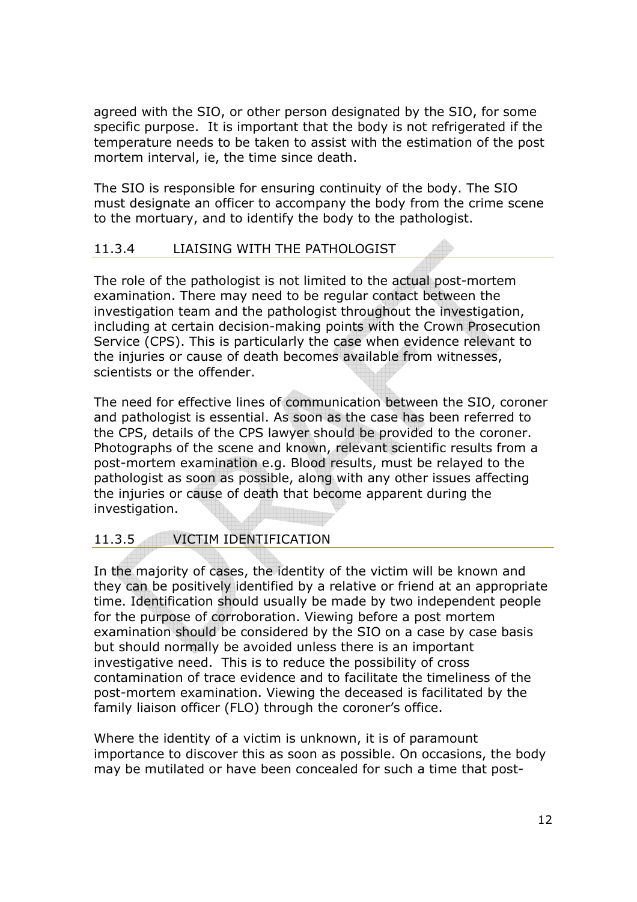agreed with the SIO, or other person designated by the SIO, for some specific purpose. It is important that the body is not refrigerated if the temperature needs to be taken to assist with the estimation of the post mortem interval, ie, the time since death.

The SIO is responsible for ensuring continuity of the body. The SIO must designate an officer to accompany the body from the crime scene to the mortuary, and to identify the body to the pathologist.

## 11.3.4 LIAISING WITH THE PATHOLOGIST

The role of the pathologist is not limited to the actual post-mortem examination. There may need to be regular contact between the investigation team and the pathologist throughout the investigation, including at certain decision-making points with the Crown Prosecution Service (CPS). This is particularly the case when evidence relevant to the injuries or cause of death becomes available from witnesses, scientists or the offender.

The need for effective lines of communication between the SIO, coroner and pathologist is essential. As soon as the case has been referred to the CPS, details of the CPS lawyer should be provided to the coroner. Photographs of the scene and known, relevant scientific results from a post-mortem examination e.g. Blood results, must be relayed to the pathologist as soon as possible, along with any other issues affecting the injuries or cause of death that become apparent during the investigation.

# 11.3.5 VICTIM IDENTIFICATION

In the majority of cases, the identity of the victim will be known and they can be positively identified by a relative or friend at an appropriate time. Identification should usually be made by two independent people for the purpose of corroboration. Viewing before a post mortem examination should be considered by the SIO on a case by case basis but should normally be avoided unless there is an important investigative need. This is to reduce the possibility of cross contamination of trace evidence and to facilitate the timeliness of the post-mortem examination. Viewing the deceased is facilitated by the family liaison officer (FLO) through the coroner's office.

Where the identity of a victim is unknown, it is of paramount importance to discover this as soon as possible. On occasions, the body may be mutilated or have been concealed for such a time that post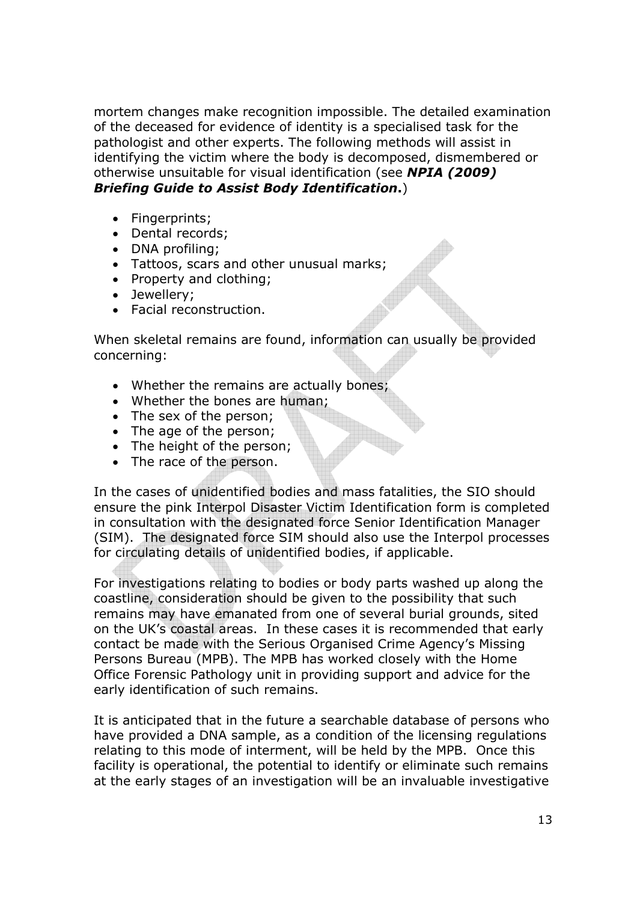mortem changes make recognition impossible. The detailed examination of the deceased for evidence of identity is a specialised task for the pathologist and other experts. The following methods will assist in identifying the victim where the body is decomposed, dismembered or otherwise unsuitable for visual identification (see NPIA (2009) Briefing Guide to Assist Body Identification.)

- Fingerprints:
- Dental records;
- DNA profiling:
- Tattoos, scars and other unusual marks;
- Property and clothing;
- Jewellery;
- Facial reconstruction.

When skeletal remains are found, information can usually be provided concerning:

- Whether the remains are actually bones;
- Whether the bones are human;
- The sex of the person;
- The age of the person;
- The height of the person:
- The race of the person.

In the cases of unidentified bodies and mass fatalities, the SIO should ensure the pink Interpol Disaster Victim Identification form is completed in consultation with the designated force Senior Identification Manager (SIM). The designated force SIM should also use the Interpol processes for circulating details of unidentified bodies, if applicable.

For investigations relating to bodies or body parts washed up along the coastline, consideration should be given to the possibility that such remains may have emanated from one of several burial grounds, sited on the UK's coastal areas. In these cases it is recommended that early contact be made with the Serious Organised Crime Agency's Missing Persons Bureau (MPB). The MPB has worked closely with the Home Office Forensic Pathology unit in providing support and advice for the early identification of such remains.

It is anticipated that in the future a searchable database of persons who have provided a DNA sample, as a condition of the licensing regulations relating to this mode of interment, will be held by the MPB. Once this facility is operational, the potential to identify or eliminate such remains at the early stages of an investigation will be an invaluable investigative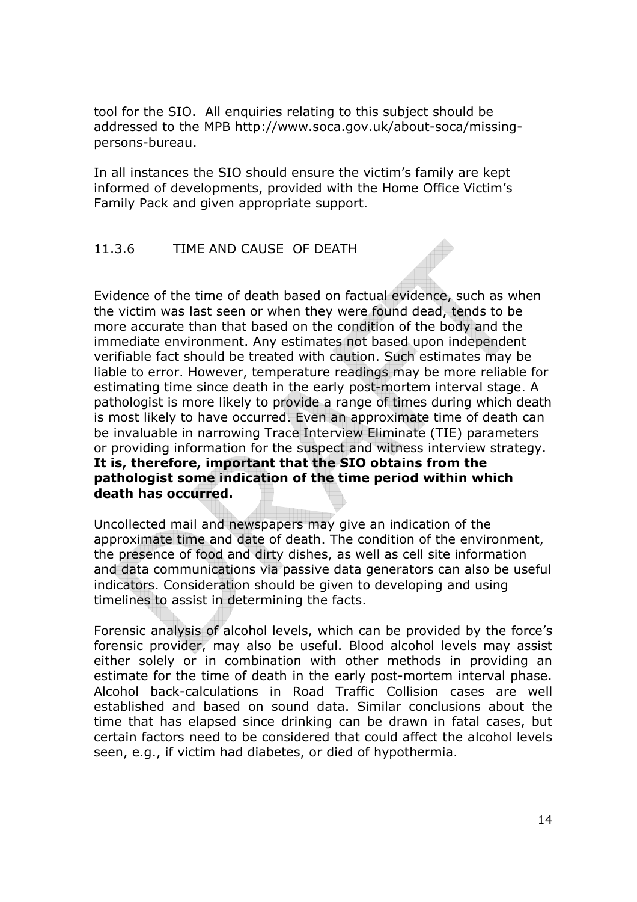tool for the SIO. All enquiries relating to this subject should be addressed to the MPB http://www.soca.gov.uk/about-soca/missingpersons-bureau.

In all instances the SIO should ensure the victim's family are kept informed of developments, provided with the Home Office Victim's Family Pack and given appropriate support.

## 11.3.6 TIME AND CAUSE OF DEATH

Evidence of the time of death based on factual evidence, such as when the victim was last seen or when they were found dead, tends to be more accurate than that based on the condition of the body and the immediate environment. Any estimates not based upon independent verifiable fact should be treated with caution. Such estimates may be liable to error. However, temperature readings may be more reliable for estimating time since death in the early post-mortem interval stage. A pathologist is more likely to provide a range of times during which death is most likely to have occurred. Even an approximate time of death can be invaluable in narrowing Trace Interview Eliminate (TIE) parameters or providing information for the suspect and witness interview strategy. It is, therefore, important that the SIO obtains from the pathologist some indication of the time period within which death has occurred.

Uncollected mail and newspapers may give an indication of the approximate time and date of death. The condition of the environment, the presence of food and dirty dishes, as well as cell site information and data communications via passive data generators can also be useful indicators. Consideration should be given to developing and using timelines to assist in determining the facts.

Forensic analysis of alcohol levels, which can be provided by the force's forensic provider, may also be useful. Blood alcohol levels may assist either solely or in combination with other methods in providing an estimate for the time of death in the early post-mortem interval phase. Alcohol back-calculations in Road Traffic Collision cases are well established and based on sound data. Similar conclusions about the time that has elapsed since drinking can be drawn in fatal cases, but certain factors need to be considered that could affect the alcohol levels seen, e.g., if victim had diabetes, or died of hypothermia.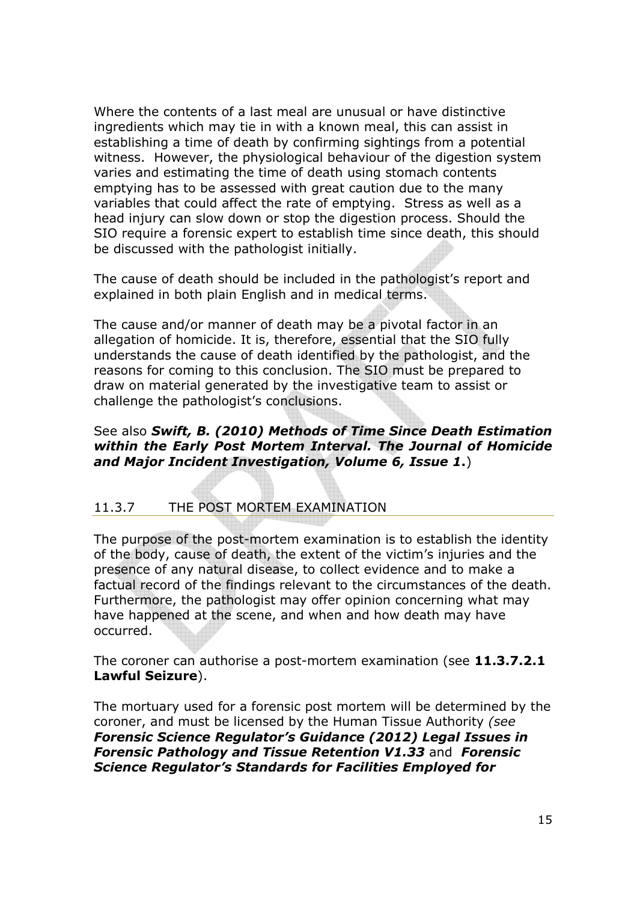Where the contents of a last meal are unusual or have distinctive ingredients which may tie in with a known meal, this can assist in establishing a time of death by confirming sightings from a potential witness. However, the physiological behaviour of the digestion system varies and estimating the time of death using stomach contents emptying has to be assessed with great caution due to the many variables that could affect the rate of emptying. Stress as well as a head injury can slow down or stop the digestion process. Should the SIO require a forensic expert to establish time since death, this should be discussed with the pathologist initially.

The cause of death should be included in the pathologist's report and explained in both plain English and in medical terms.

The cause and/or manner of death may be a pivotal factor in an allegation of homicide. It is, therefore, essential that the SIO fully understands the cause of death identified by the pathologist, and the reasons for coming to this conclusion. The SIO must be prepared to draw on material generated by the investigative team to assist or challenge the pathologist's conclusions.

## See also Swift, B. (2010) Methods of Time Since Death Estimation within the Early Post Mortem Interval. The Journal of Homicide and Major Incident Investigation, Volume 6, Issue 1.)

# 11.3.7 THE POST MORTEM EXAMINATION

The purpose of the post-mortem examination is to establish the identity of the body, cause of death, the extent of the victim's injuries and the presence of any natural disease, to collect evidence and to make a factual record of the findings relevant to the circumstances of the death. Furthermore, the pathologist may offer opinion concerning what may have happened at the scene, and when and how death may have occurred.

The coroner can authorise a post-mortem examination (see 11.3.7.2.1) Lawful Seizure).

The mortuary used for a forensic post mortem will be determined by the coroner, and must be licensed by the Human Tissue Authority (see Forensic Science Regulator's Guidance (2012) Legal Issues in Forensic Pathology and Tissue Retention V1.33 and Forensic Science Regulator's Standards for Facilities Employed for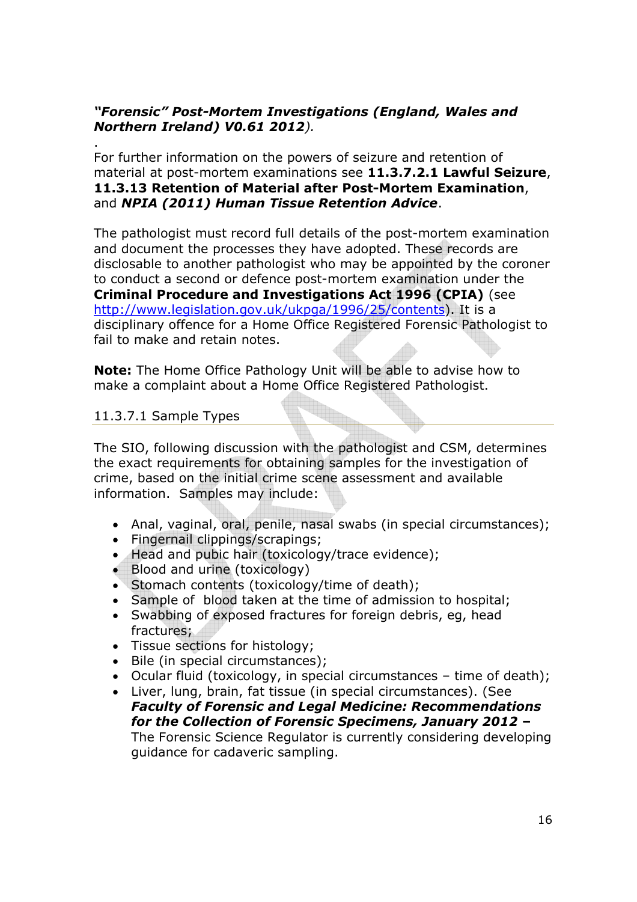## "Forensic" Post-Mortem Investigations (England, Wales and Northern Ireland) V0.61 2012).

. For further information on the powers of seizure and retention of material at post-mortem examinations see 11.3.7.2.1 Lawful Seizure, 11.3.13 Retention of Material after Post-Mortem Examination, and NPIA (2011) Human Tissue Retention Advice.

The pathologist must record full details of the post-mortem examination and document the processes they have adopted. These records are disclosable to another pathologist who may be appointed by the coroner to conduct a second or defence post-mortem examination under the Criminal Procedure and Investigations Act 1996 (CPIA) (see http://www.legislation.gov.uk/ukpga/1996/25/contents). It is a disciplinary offence for a Home Office Registered Forensic Pathologist to fail to make and retain notes.

Note: The Home Office Pathology Unit will be able to advise how to make a complaint about a Home Office Registered Pathologist.

#### 11.3.7.1 Sample Types

The SIO, following discussion with the pathologist and CSM, determines the exact requirements for obtaining samples for the investigation of crime, based on the initial crime scene assessment and available information. Samples may include:

- Anal, vaginal, oral, penile, nasal swabs (in special circumstances);
- Fingernail clippings/scrapings;
- Head and pubic hair (toxicology/trace evidence);
- Blood and urine (toxicology)
- Stomach contents (toxicology/time of death);
- Sample of blood taken at the time of admission to hospital;
- Swabbing of exposed fractures for foreign debris, eg, head fractures;
- Tissue sections for histology;
- Bile (in special circumstances);
- Ocular fluid (toxicology, in special circumstances time of death);
- Liver, lung, brain, fat tissue (in special circumstances). (See Faculty of Forensic and Legal Medicine: Recommendations for the Collection of Forensic Specimens, January 2012 – The Forensic Science Regulator is currently considering developing guidance for cadaveric sampling.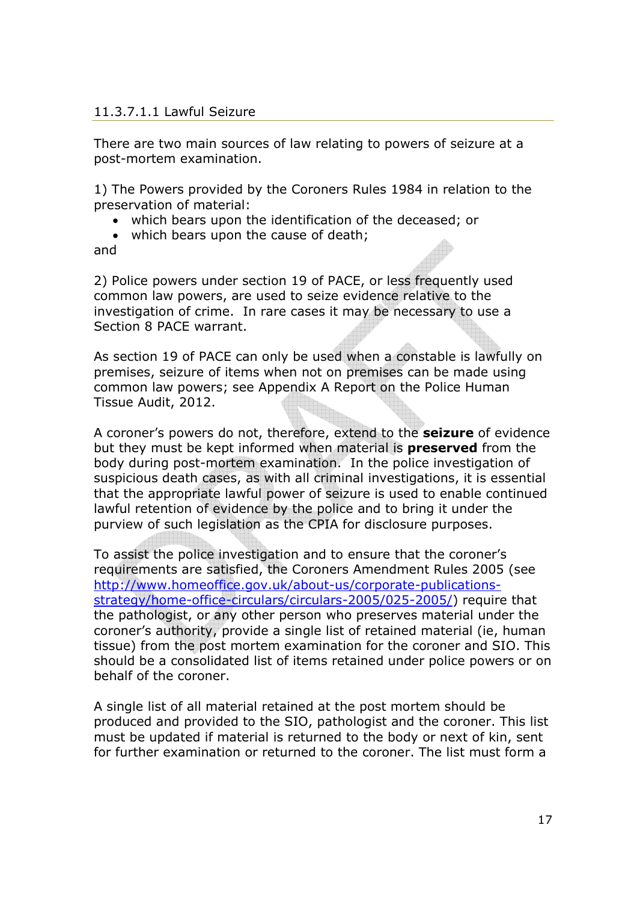#### 11.3.7.1.1 Lawful Seizure

There are two main sources of law relating to powers of seizure at a post-mortem examination.

1) The Powers provided by the Coroners Rules 1984 in relation to the preservation of material:

- which bears upon the identification of the deceased; or
- which bears upon the cause of death;

and

2) Police powers under section 19 of PACE, or less frequently used common law powers, are used to seize evidence relative to the investigation of crime. In rare cases it may be necessary to use a Section 8 PACE warrant.

As section 19 of PACE can only be used when a constable is lawfully on premises, seizure of items when not on premises can be made using common law powers; see Appendix A Report on the Police Human Tissue Audit, 2012.

A coroner's powers do not, therefore, extend to the **seizure** of evidence but they must be kept informed when material is **preserved** from the body during post-mortem examination. In the police investigation of suspicious death cases, as with all criminal investigations, it is essential that the appropriate lawful power of seizure is used to enable continued lawful retention of evidence by the police and to bring it under the purview of such legislation as the CPIA for disclosure purposes.

To assist the police investigation and to ensure that the coroner's requirements are satisfied, the Coroners Amendment Rules 2005 (see http://www.homeoffice.gov.uk/about-us/corporate-publicationsstrategy/home-office-circulars/circulars-2005/025-2005/) require that the pathologist, or any other person who preserves material under the coroner's authority, provide a single list of retained material (ie, human tissue) from the post mortem examination for the coroner and SIO. This should be a consolidated list of items retained under police powers or on behalf of the coroner.

A single list of all material retained at the post mortem should be produced and provided to the SIO, pathologist and the coroner. This list must be updated if material is returned to the body or next of kin, sent for further examination or returned to the coroner. The list must form a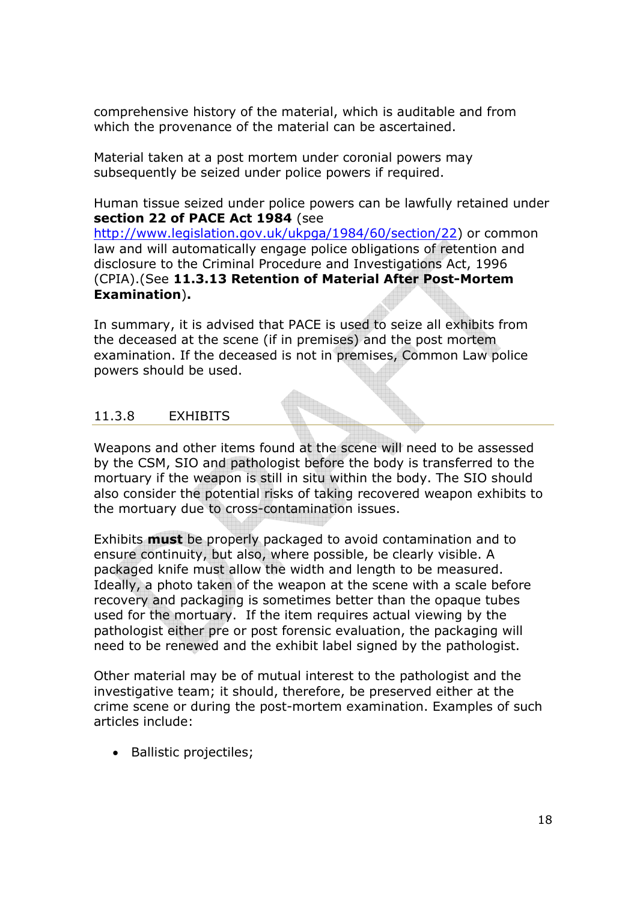comprehensive history of the material, which is auditable and from which the provenance of the material can be ascertained.

Material taken at a post mortem under coronial powers may subsequently be seized under police powers if required.

Human tissue seized under police powers can be lawfully retained under section 22 of PACE Act 1984 (see

http://www.legislation.gov.uk/ukpga/1984/60/section/22) or common law and will automatically engage police obligations of retention and disclosure to the Criminal Procedure and Investigations Act, 1996 (CPIA).(See 11.3.13 Retention of Material After Post-Mortem Examination).

In summary, it is advised that PACE is used to seize all exhibits from the deceased at the scene (if in premises) and the post mortem examination. If the deceased is not in premises, Common Law police powers should be used.

# 11.3.8 EXHIBITS

Weapons and other items found at the scene will need to be assessed by the CSM, SIO and pathologist before the body is transferred to the mortuary if the weapon is still in situ within the body. The SIO should also consider the potential risks of taking recovered weapon exhibits to the mortuary due to cross-contamination issues.

Exhibits **must** be properly packaged to avoid contamination and to ensure continuity, but also, where possible, be clearly visible. A packaged knife must allow the width and length to be measured. Ideally, a photo taken of the weapon at the scene with a scale before recovery and packaging is sometimes better than the opaque tubes used for the mortuary. If the item requires actual viewing by the pathologist either pre or post forensic evaluation, the packaging will need to be renewed and the exhibit label signed by the pathologist.

Other material may be of mutual interest to the pathologist and the investigative team; it should, therefore, be preserved either at the crime scene or during the post-mortem examination. Examples of such articles include:

• Ballistic projectiles;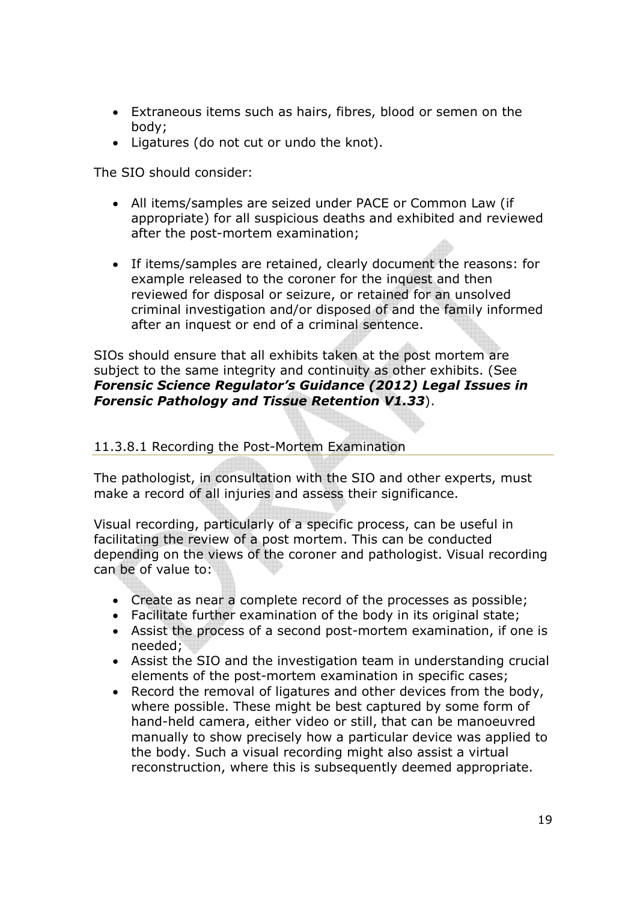- Extraneous items such as hairs, fibres, blood or semen on the body;
- Ligatures (do not cut or undo the knot).

The SIO should consider:

- All items/samples are seized under PACE or Common Law (if appropriate) for all suspicious deaths and exhibited and reviewed after the post-mortem examination;
- If items/samples are retained, clearly document the reasons: for example released to the coroner for the inquest and then reviewed for disposal or seizure, or retained for an unsolved criminal investigation and/or disposed of and the family informed after an inquest or end of a criminal sentence.

SIOs should ensure that all exhibits taken at the post mortem are subject to the same integrity and continuity as other exhibits. (See Forensic Science Regulator's Guidance (2012) Legal Issues in Forensic Pathology and Tissue Retention V1.33).

#### 11.3.8.1 Recording the Post-Mortem Examination

The pathologist, in consultation with the SIO and other experts, must make a record of all injuries and assess their significance.

Visual recording, particularly of a specific process, can be useful in facilitating the review of a post mortem. This can be conducted depending on the views of the coroner and pathologist. Visual recording can be of value to:

- Create as near a complete record of the processes as possible;
- Facilitate further examination of the body in its original state;
- Assist the process of a second post-mortem examination, if one is needed;
- Assist the SIO and the investigation team in understanding crucial elements of the post-mortem examination in specific cases;
- Record the removal of ligatures and other devices from the body, where possible. These might be best captured by some form of hand-held camera, either video or still, that can be manoeuvred manually to show precisely how a particular device was applied to the body. Such a visual recording might also assist a virtual reconstruction, where this is subsequently deemed appropriate.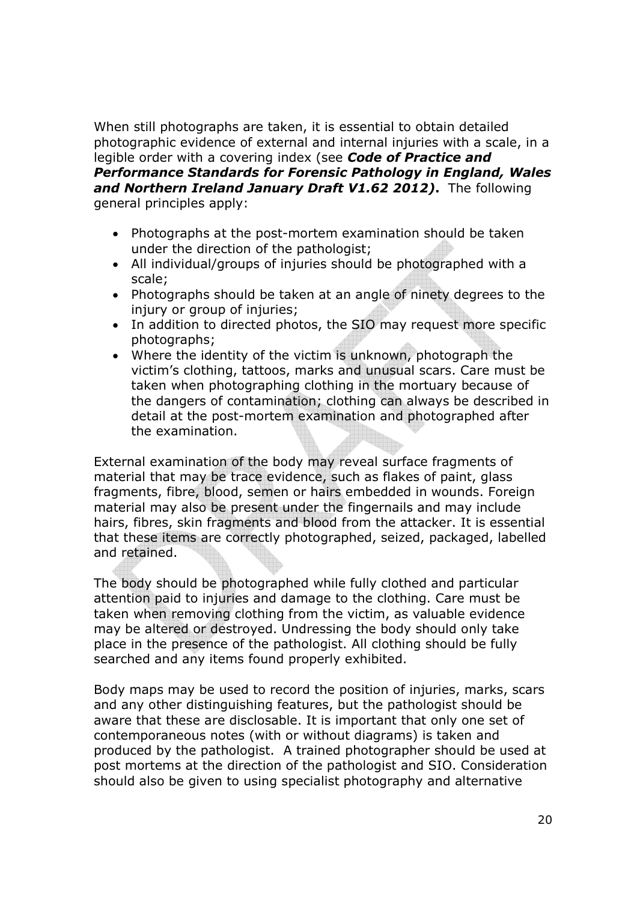When still photographs are taken, it is essential to obtain detailed photographic evidence of external and internal injuries with a scale, in a legible order with a covering index (see Code of Practice and Performance Standards for Forensic Pathology in England, Wales and Northern Ireland January Draft V1.62 2012). The following general principles apply:

- Photographs at the post-mortem examination should be taken under the direction of the pathologist;
- All individual/groups of injuries should be photographed with a scale;
- Photographs should be taken at an angle of ninety degrees to the injury or group of injuries;
- In addition to directed photos, the SIO may request more specific photographs;
- Where the identity of the victim is unknown, photograph the victim's clothing, tattoos, marks and unusual scars. Care must be taken when photographing clothing in the mortuary because of the dangers of contamination; clothing can always be described in detail at the post-mortem examination and photographed after the examination.

External examination of the body may reveal surface fragments of material that may be trace evidence, such as flakes of paint, glass fragments, fibre, blood, semen or hairs embedded in wounds. Foreign material may also be present under the fingernails and may include hairs, fibres, skin fragments and blood from the attacker. It is essential that these items are correctly photographed, seized, packaged, labelled and retained.

The body should be photographed while fully clothed and particular attention paid to injuries and damage to the clothing. Care must be taken when removing clothing from the victim, as valuable evidence may be altered or destroyed. Undressing the body should only take place in the presence of the pathologist. All clothing should be fully searched and any items found properly exhibited.

Body maps may be used to record the position of injuries, marks, scars and any other distinguishing features, but the pathologist should be aware that these are disclosable. It is important that only one set of contemporaneous notes (with or without diagrams) is taken and produced by the pathologist. A trained photographer should be used at post mortems at the direction of the pathologist and SIO. Consideration should also be given to using specialist photography and alternative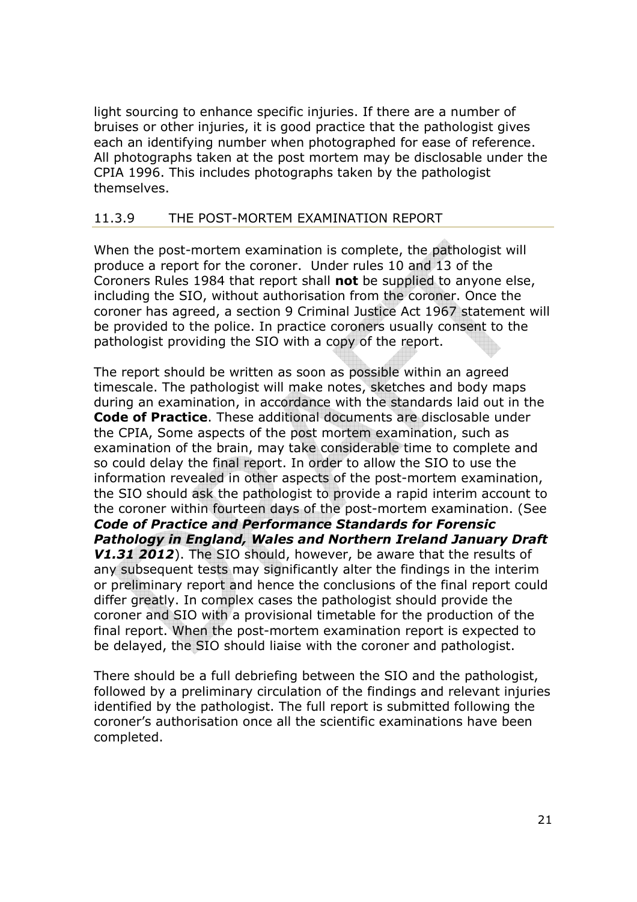light sourcing to enhance specific injuries. If there are a number of bruises or other injuries, it is good practice that the pathologist gives each an identifying number when photographed for ease of reference. All photographs taken at the post mortem may be disclosable under the CPIA 1996. This includes photographs taken by the pathologist themselves.

## 11.3.9 THE POST-MORTEM EXAMINATION REPORT

When the post-mortem examination is complete, the pathologist will produce a report for the coroner. Under rules 10 and 13 of the Coroners Rules 1984 that report shall not be supplied to anyone else, including the SIO, without authorisation from the coroner. Once the coroner has agreed, a section 9 Criminal Justice Act 1967 statement will be provided to the police. In practice coroners usually consent to the pathologist providing the SIO with a copy of the report.

The report should be written as soon as possible within an agreed timescale. The pathologist will make notes, sketches and body maps during an examination, in accordance with the standards laid out in the Code of Practice. These additional documents are disclosable under the CPIA, Some aspects of the post mortem examination, such as examination of the brain, may take considerable time to complete and so could delay the final report. In order to allow the SIO to use the information revealed in other aspects of the post-mortem examination, the SIO should ask the pathologist to provide a rapid interim account to the coroner within fourteen days of the post-mortem examination. (See Code of Practice and Performance Standards for Forensic Pathology in England, Wales and Northern Ireland January Draft V1.31 2012). The SIO should, however, be aware that the results of any subsequent tests may significantly alter the findings in the interim or preliminary report and hence the conclusions of the final report could differ greatly. In complex cases the pathologist should provide the coroner and SIO with a provisional timetable for the production of the final report. When the post-mortem examination report is expected to be delayed, the SIO should liaise with the coroner and pathologist.

There should be a full debriefing between the SIO and the pathologist, followed by a preliminary circulation of the findings and relevant injuries identified by the pathologist. The full report is submitted following the coroner's authorisation once all the scientific examinations have been completed.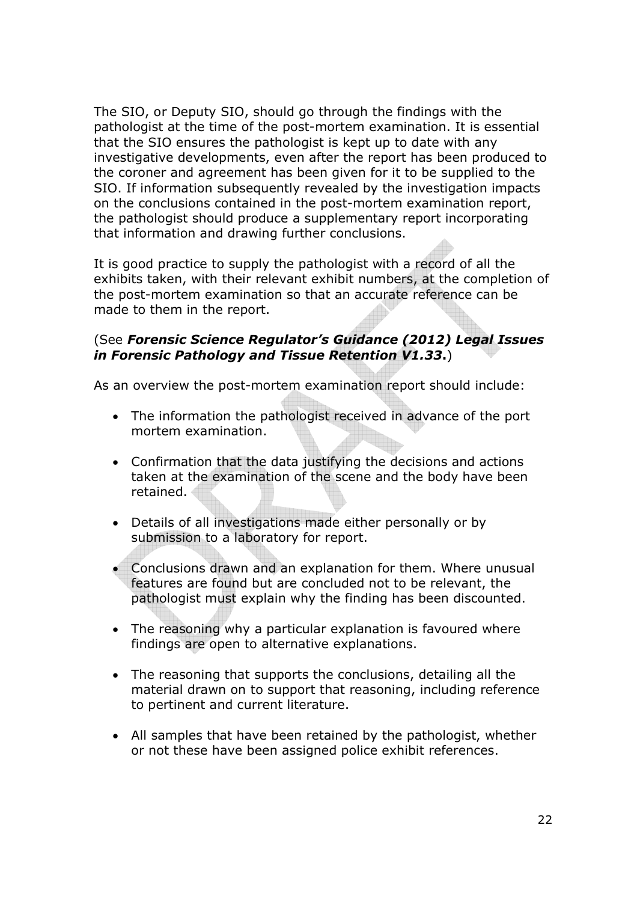The SIO, or Deputy SIO, should go through the findings with the pathologist at the time of the post-mortem examination. It is essential that the SIO ensures the pathologist is kept up to date with any investigative developments, even after the report has been produced to the coroner and agreement has been given for it to be supplied to the SIO. If information subsequently revealed by the investigation impacts on the conclusions contained in the post-mortem examination report, the pathologist should produce a supplementary report incorporating that information and drawing further conclusions.

It is good practice to supply the pathologist with a record of all the exhibits taken, with their relevant exhibit numbers, at the completion of the post-mortem examination so that an accurate reference can be made to them in the report.

## (See Forensic Science Regulator's Guidance (2012) Legal Issues in Forensic Pathology and Tissue Retention V1.33.)

As an overview the post-mortem examination report should include:

- The information the pathologist received in advance of the port mortem examination.
- Confirmation that the data justifying the decisions and actions taken at the examination of the scene and the body have been retained.
- Details of all investigations made either personally or by submission to a laboratory for report.
- Conclusions drawn and an explanation for them. Where unusual features are found but are concluded not to be relevant, the pathologist must explain why the finding has been discounted.
- The reasoning why a particular explanation is favoured where findings are open to alternative explanations.
- The reasoning that supports the conclusions, detailing all the material drawn on to support that reasoning, including reference to pertinent and current literature.
- All samples that have been retained by the pathologist, whether or not these have been assigned police exhibit references.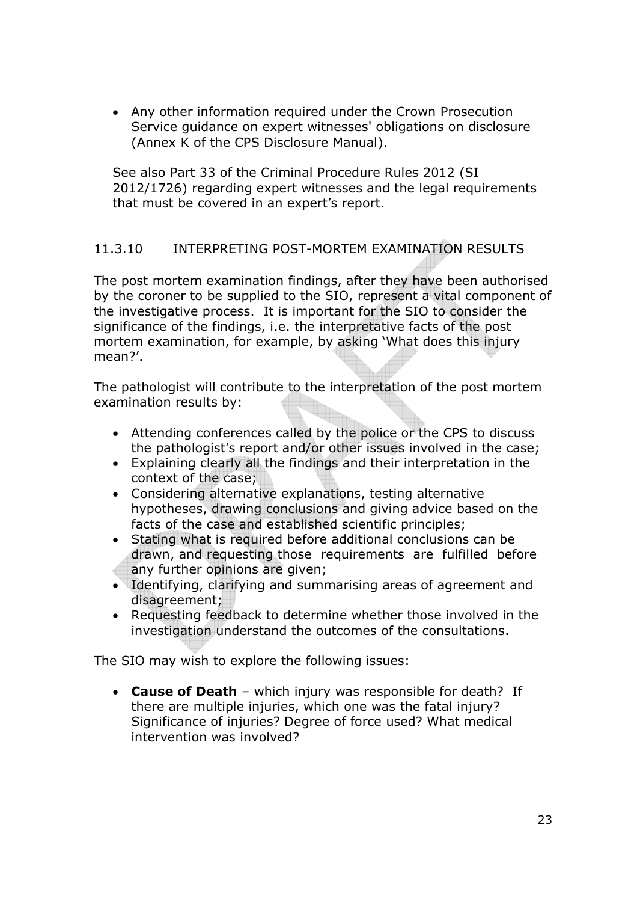• Any other information required under the Crown Prosecution Service guidance on expert witnesses' obligations on disclosure (Annex K of the CPS Disclosure Manual).

See also Part 33 of the Criminal Procedure Rules 2012 (SI 2012/1726) regarding expert witnesses and the legal requirements that must be covered in an expert's report.

# 11.3.10 INTERPRETING POST-MORTEM EXAMINATION RESULTS

The post mortem examination findings, after they have been authorised by the coroner to be supplied to the SIO, represent a vital component of the investigative process. It is important for the SIO to consider the significance of the findings, i.e. the interpretative facts of the post mortem examination, for example, by asking 'What does this injury mean?'.

The pathologist will contribute to the interpretation of the post mortem examination results by:

- Attending conferences called by the police or the CPS to discuss the pathologist's report and/or other issues involved in the case;
- Explaining clearly all the findings and their interpretation in the context of the case;
- Considering alternative explanations, testing alternative hypotheses, drawing conclusions and giving advice based on the facts of the case and established scientific principles;
- Stating what is required before additional conclusions can be drawn, and requesting those requirements are fulfilled before any further opinions are given;
- Identifying, clarifying and summarising areas of agreement and disagreement;
- Requesting feedback to determine whether those involved in the investigation understand the outcomes of the consultations.

The SIO may wish to explore the following issues:

• Cause of Death - which injury was responsible for death? If there are multiple injuries, which one was the fatal injury? Significance of injuries? Degree of force used? What medical intervention was involved?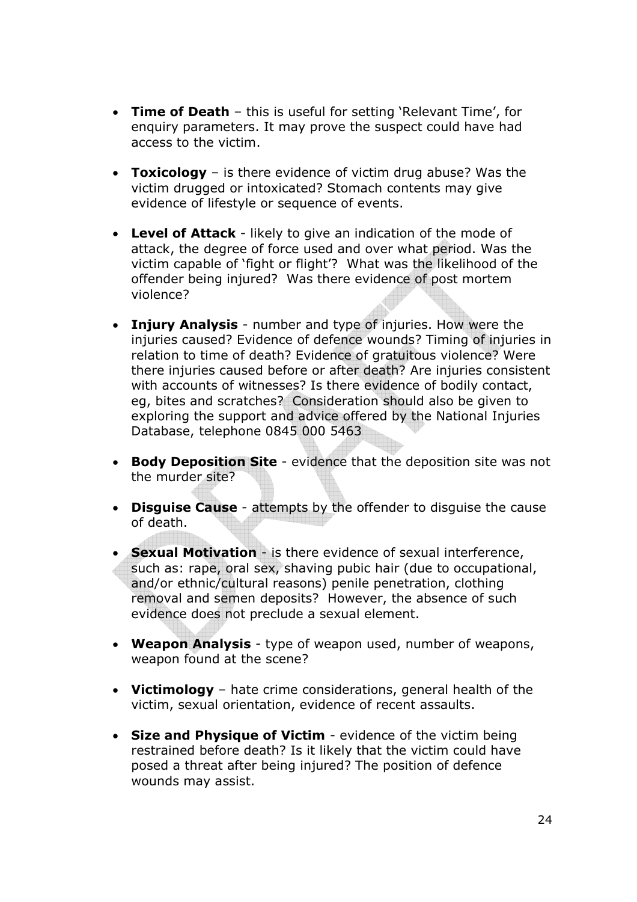- Time of Death this is useful for setting 'Relevant Time', for enquiry parameters. It may prove the suspect could have had access to the victim.
- Toxicology is there evidence of victim drug abuse? Was the victim drugged or intoxicated? Stomach contents may give evidence of lifestyle or sequence of events.
- Level of Attack likely to give an indication of the mode of attack, the degree of force used and over what period. Was the victim capable of 'fight or flight'? What was the likelihood of the offender being injured? Was there evidence of post mortem violence?
- Injury Analysis number and type of injuries. How were the injuries caused? Evidence of defence wounds? Timing of injuries in relation to time of death? Evidence of gratuitous violence? Were there injuries caused before or after death? Are injuries consistent with accounts of witnesses? Is there evidence of bodily contact, eg, bites and scratches? Consideration should also be given to exploring the support and advice offered by the National Injuries Database, telephone 0845 000 5463
- Body Deposition Site evidence that the deposition site was not the murder site?
- Disguise Cause attempts by the offender to disquise the cause of death.
- Sexual Motivation is there evidence of sexual interference, such as: rape, oral sex, shaving pubic hair (due to occupational, and/or ethnic/cultural reasons) penile penetration, clothing removal and semen deposits? However, the absence of such evidence does not preclude a sexual element.
- Weapon Analysis type of weapon used, number of weapons, weapon found at the scene?
- Victimology hate crime considerations, general health of the victim, sexual orientation, evidence of recent assaults.
- Size and Physique of Victim evidence of the victim being restrained before death? Is it likely that the victim could have posed a threat after being injured? The position of defence wounds may assist.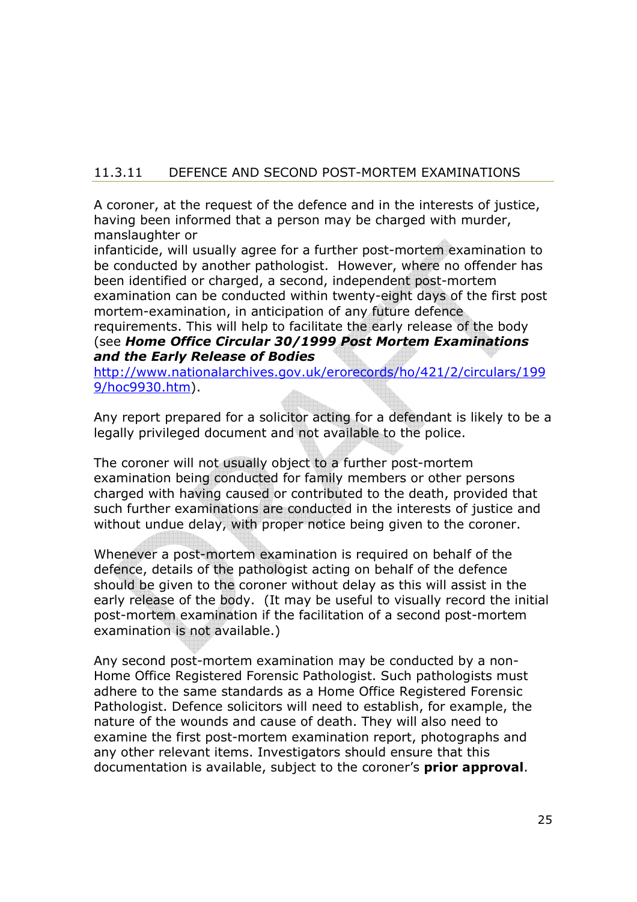# 11.3.11 DEFENCE AND SECOND POST-MORTEM EXAMINATIONS

A coroner, at the request of the defence and in the interests of justice, having been informed that a person may be charged with murder, manslaughter or

infanticide, will usually agree for a further post-mortem examination to be conducted by another pathologist. However, where no offender has been identified or charged, a second, independent post-mortem examination can be conducted within twenty-eight days of the first post mortem-examination, in anticipation of any future defence

requirements. This will help to facilitate the early release of the body (see Home Office Circular 30/1999 Post Mortem Examinations and the Early Release of Bodies

http://www.nationalarchives.gov.uk/erorecords/ho/421/2/circulars/199 9/hoc9930.htm).

Any report prepared for a solicitor acting for a defendant is likely to be a legally privileged document and not available to the police.

The coroner will not usually object to a further post-mortem examination being conducted for family members or other persons charged with having caused or contributed to the death, provided that such further examinations are conducted in the interests of justice and without undue delay, with proper notice being given to the coroner.

Whenever a post-mortem examination is required on behalf of the defence, details of the pathologist acting on behalf of the defence should be given to the coroner without delay as this will assist in the early release of the body. (It may be useful to visually record the initial post-mortem examination if the facilitation of a second post-mortem examination is not available.)

Any second post-mortem examination may be conducted by a non-Home Office Registered Forensic Pathologist. Such pathologists must adhere to the same standards as a Home Office Registered Forensic Pathologist. Defence solicitors will need to establish, for example, the nature of the wounds and cause of death. They will also need to examine the first post-mortem examination report, photographs and any other relevant items. Investigators should ensure that this documentation is available, subject to the coroner's **prior approval**.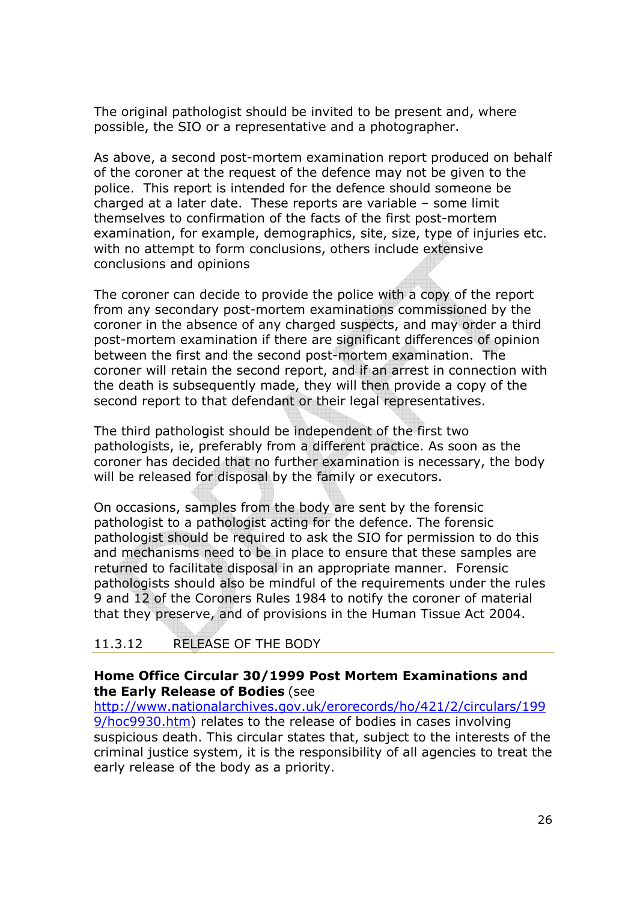The original pathologist should be invited to be present and, where possible, the SIO or a representative and a photographer.

As above, a second post-mortem examination report produced on behalf of the coroner at the request of the defence may not be given to the police. This report is intended for the defence should someone be charged at a later date. These reports are variable – some limit themselves to confirmation of the facts of the first post-mortem examination, for example, demographics, site, size, type of injuries etc. with no attempt to form conclusions, others include extensive conclusions and opinions

The coroner can decide to provide the police with a copy of the report from any secondary post-mortem examinations commissioned by the coroner in the absence of any charged suspects, and may order a third post-mortem examination if there are significant differences of opinion between the first and the second post-mortem examination. The coroner will retain the second report, and if an arrest in connection with the death is subsequently made, they will then provide a copy of the second report to that defendant or their legal representatives.

The third pathologist should be independent of the first two pathologists, ie, preferably from a different practice. As soon as the coroner has decided that no further examination is necessary, the body will be released for disposal by the family or executors.

On occasions, samples from the body are sent by the forensic pathologist to a pathologist acting for the defence. The forensic pathologist should be required to ask the SIO for permission to do this and mechanisms need to be in place to ensure that these samples are returned to facilitate disposal in an appropriate manner. Forensic pathologists should also be mindful of the requirements under the rules 9 and 12 of the Coroners Rules 1984 to notify the coroner of material that they preserve, and of provisions in the Human Tissue Act 2004.

# 11.3.12 RELEASE OF THE BODY

#### Home Office Circular 30/1999 Post Mortem Examinations and the Early Release of Bodies (see

http://www.nationalarchives.gov.uk/erorecords/ho/421/2/circulars/199 9/hoc9930.htm) relates to the release of bodies in cases involving suspicious death. This circular states that, subject to the interests of the criminal justice system, it is the responsibility of all agencies to treat the early release of the body as a priority.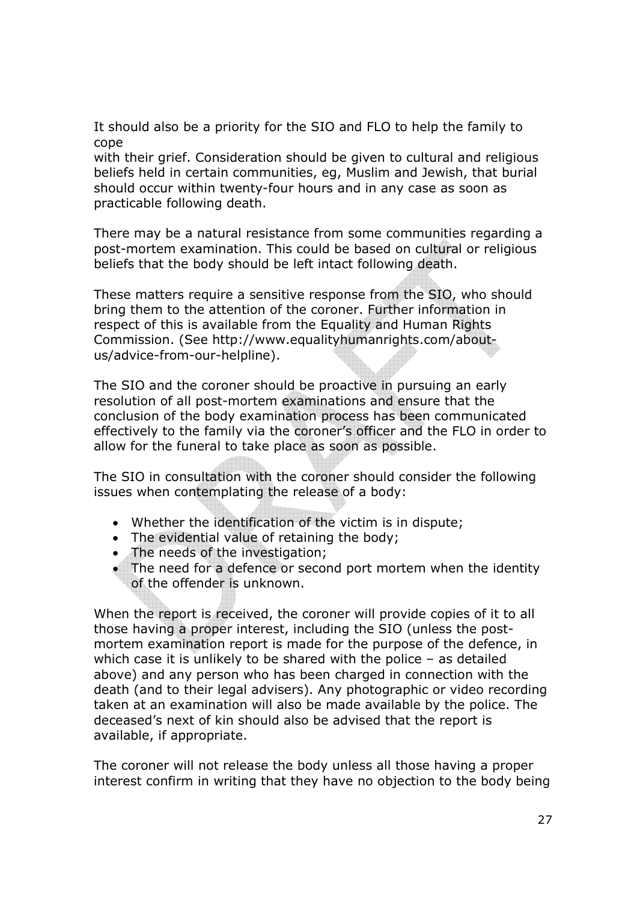It should also be a priority for the SIO and FLO to help the family to cope

with their grief. Consideration should be given to cultural and religious beliefs held in certain communities, eg, Muslim and Jewish, that burial should occur within twenty-four hours and in any case as soon as practicable following death.

There may be a natural resistance from some communities regarding a post-mortem examination. This could be based on cultural or religious beliefs that the body should be left intact following death.

These matters require a sensitive response from the SIO, who should bring them to the attention of the coroner. Further information in respect of this is available from the Equality and Human Rights Commission. (See http://www.equalityhumanrights.com/aboutus/advice-from-our-helpline).

The SIO and the coroner should be proactive in pursuing an early resolution of all post-mortem examinations and ensure that the conclusion of the body examination process has been communicated effectively to the family via the coroner's officer and the FLO in order to allow for the funeral to take place as soon as possible.

The SIO in consultation with the coroner should consider the following issues when contemplating the release of a body:

- Whether the identification of the victim is in dispute;
- The evidential value of retaining the body;
- The needs of the investigation;
- The need for a defence or second port mortem when the identity of the offender is unknown.

When the report is received, the coroner will provide copies of it to all those having a proper interest, including the SIO (unless the postmortem examination report is made for the purpose of the defence, in which case it is unlikely to be shared with the police – as detailed above) and any person who has been charged in connection with the death (and to their legal advisers). Any photographic or video recording taken at an examination will also be made available by the police. The deceased's next of kin should also be advised that the report is available, if appropriate.

The coroner will not release the body unless all those having a proper interest confirm in writing that they have no objection to the body being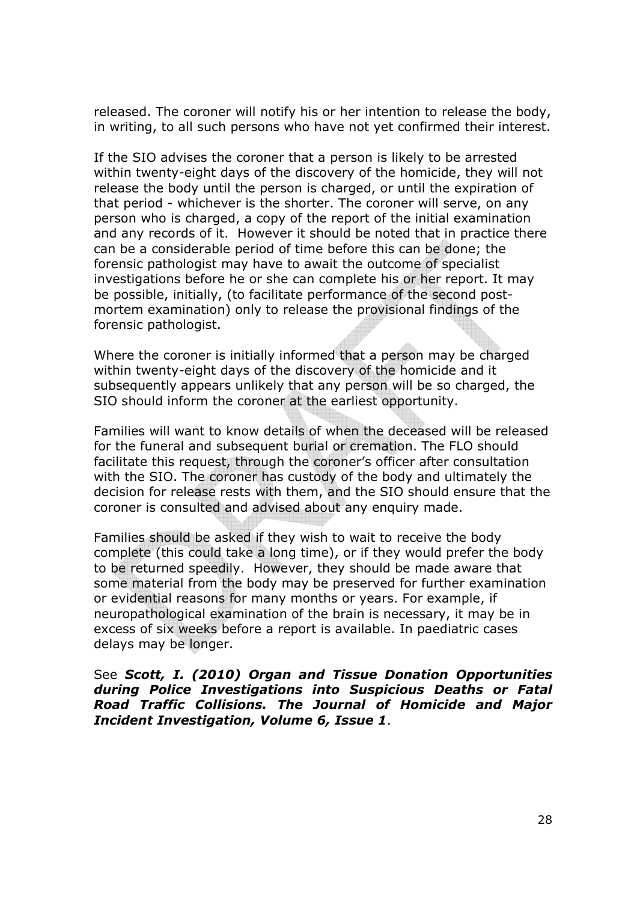released. The coroner will notify his or her intention to release the body, in writing, to all such persons who have not yet confirmed their interest.

If the SIO advises the coroner that a person is likely to be arrested within twenty-eight days of the discovery of the homicide, they will not release the body until the person is charged, or until the expiration of that period - whichever is the shorter. The coroner will serve, on any person who is charged, a copy of the report of the initial examination and any records of it. However it should be noted that in practice there can be a considerable period of time before this can be done; the forensic pathologist may have to await the outcome of specialist investigations before he or she can complete his or her report. It may be possible, initially, (to facilitate performance of the second postmortem examination) only to release the provisional findings of the forensic pathologist.

Where the coroner is initially informed that a person may be charged within twenty-eight days of the discovery of the homicide and it subsequently appears unlikely that any person will be so charged, the SIO should inform the coroner at the earliest opportunity.

Families will want to know details of when the deceased will be released for the funeral and subsequent burial or cremation. The FLO should facilitate this request, through the coroner's officer after consultation with the SIO. The coroner has custody of the body and ultimately the decision for release rests with them, and the SIO should ensure that the coroner is consulted and advised about any enquiry made.

Families should be asked if they wish to wait to receive the body complete (this could take a long time), or if they would prefer the body to be returned speedily. However, they should be made aware that some material from the body may be preserved for further examination or evidential reasons for many months or years. For example, if neuropathological examination of the brain is necessary, it may be in excess of six weeks before a report is available. In paediatric cases delays may be longer.

See Scott, I. (2010) Organ and Tissue Donation Opportunities during Police Investigations into Suspicious Deaths or Fatal Road Traffic Collisions. The Journal of Homicide and Major Incident Investigation, Volume 6, Issue 1.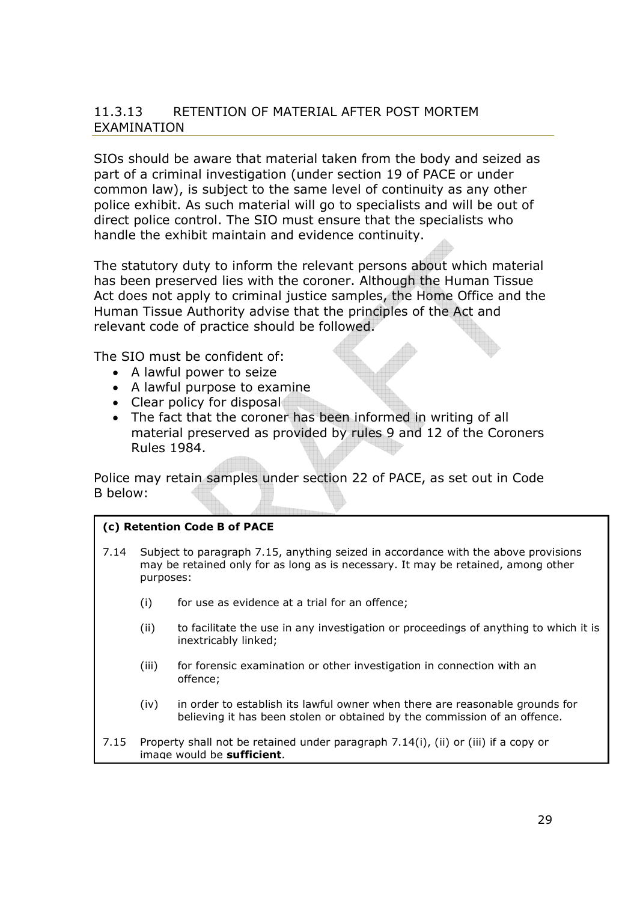#### 11.3.13 RETENTION OF MATERIAL AFTER POST MORTEM EXAMINATION

SIOs should be aware that material taken from the body and seized as part of a criminal investigation (under section 19 of PACE or under common law), is subject to the same level of continuity as any other police exhibit. As such material will go to specialists and will be out of direct police control. The SIO must ensure that the specialists who handle the exhibit maintain and evidence continuity.

The statutory duty to inform the relevant persons about which material has been preserved lies with the coroner. Although the Human Tissue Act does not apply to criminal justice samples, the Home Office and the Human Tissue Authority advise that the principles of the Act and relevant code of practice should be followed.

The SIO must be confident of:

- A lawful power to seize
- A lawful purpose to examine
- Clear policy for disposal
- The fact that the coroner has been informed in writing of all material preserved as provided by rules 9 and 12 of the Coroners Rules 1984.

Police may retain samples under section 22 of PACE, as set out in Code B below:

#### (c) Retention Code B of PACE

- 7.14 Subject to paragraph 7.15, anything seized in accordance with the above provisions may be retained only for as long as is necessary. It may be retained, among other purposes:
	- (i) for use as evidence at a trial for an offence;
	- (ii) to facilitate the use in any investigation or proceedings of anything to which it is inextricably linked;
	- (iii) for forensic examination or other investigation in connection with an offence;
	- (iv) in order to establish its lawful owner when there are reasonable grounds for believing it has been stolen or obtained by the commission of an offence.

7.15 Property shall not be retained under paragraph 7.14(i), (ii) or (iii) if a copy or image would be sufficient.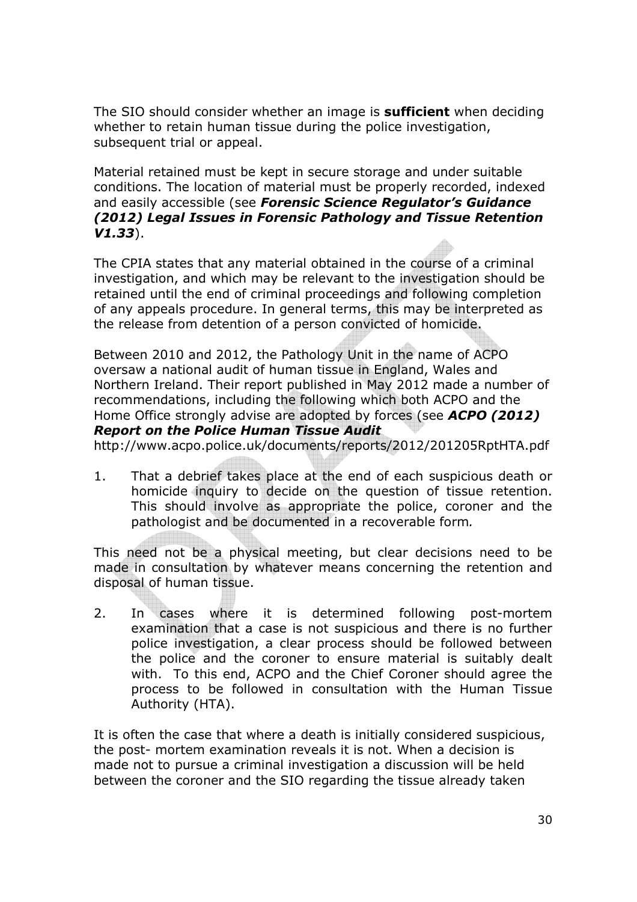The SIO should consider whether an image is **sufficient** when deciding whether to retain human tissue during the police investigation, subsequent trial or appeal.

Material retained must be kept in secure storage and under suitable conditions. The location of material must be properly recorded, indexed and easily accessible (see Forensic Science Regulator's Guidance (2012) Legal Issues in Forensic Pathology and Tissue Retention V1.33).

The CPIA states that any material obtained in the course of a criminal investigation, and which may be relevant to the investigation should be retained until the end of criminal proceedings and following completion of any appeals procedure. In general terms, this may be interpreted as the release from detention of a person convicted of homicide.

Between 2010 and 2012, the Pathology Unit in the name of ACPO oversaw a national audit of human tissue in England, Wales and Northern Ireland. Their report published in May 2012 made a number of recommendations, including the following which both ACPO and the Home Office strongly advise are adopted by forces (see ACPO (2012) Report on the Police Human Tissue Audit

http://www.acpo.police.uk/documents/reports/2012/201205RptHTA.pdf

1. That a debrief takes place at the end of each suspicious death or homicide inquiry to decide on the question of tissue retention. This should involve as appropriate the police, coroner and the pathologist and be documented in a recoverable form.

This need not be a physical meeting, but clear decisions need to be made in consultation by whatever means concerning the retention and disposal of human tissue.

2. In cases where it is determined following post-mortem examination that a case is not suspicious and there is no further police investigation, a clear process should be followed between the police and the coroner to ensure material is suitably dealt with. To this end, ACPO and the Chief Coroner should agree the process to be followed in consultation with the Human Tissue Authority (HTA).

It is often the case that where a death is initially considered suspicious, the post- mortem examination reveals it is not. When a decision is made not to pursue a criminal investigation a discussion will be held between the coroner and the SIO regarding the tissue already taken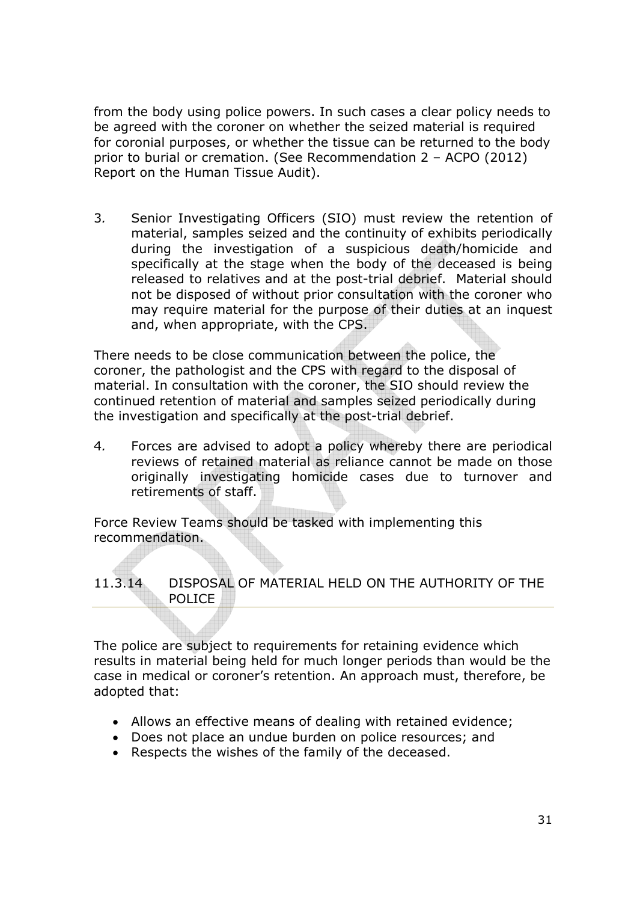from the body using police powers. In such cases a clear policy needs to be agreed with the coroner on whether the seized material is required for coronial purposes, or whether the tissue can be returned to the body prior to burial or cremation. (See Recommendation 2 – ACPO (2012) Report on the Human Tissue Audit).

3. Senior Investigating Officers (SIO) must review the retention of material, samples seized and the continuity of exhibits periodically during the investigation of a suspicious death/homicide and specifically at the stage when the body of the deceased is being released to relatives and at the post-trial debrief. Material should not be disposed of without prior consultation with the coroner who may require material for the purpose of their duties at an inquest and, when appropriate, with the CPS.

There needs to be close communication between the police, the coroner, the pathologist and the CPS with regard to the disposal of material. In consultation with the coroner, the SIO should review the continued retention of material and samples seized periodically during the investigation and specifically at the post-trial debrief.

4. Forces are advised to adopt a policy whereby there are periodical reviews of retained material as reliance cannot be made on those originally investigating homicide cases due to turnover and retirements of staff.

Force Review Teams should be tasked with implementing this recommendation.

#### 11.3.14 DISPOSAL OF MATERIAL HELD ON THE AUTHORITY OF THE POLICE

The police are subject to requirements for retaining evidence which results in material being held for much longer periods than would be the case in medical or coroner's retention. An approach must, therefore, be adopted that:

- Allows an effective means of dealing with retained evidence;
- Does not place an undue burden on police resources; and
- Respects the wishes of the family of the deceased.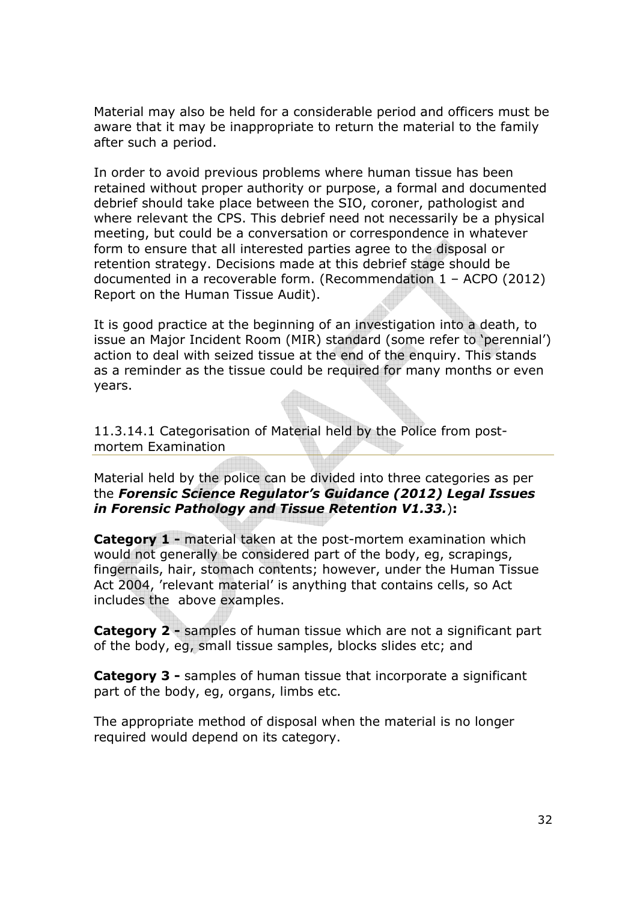Material may also be held for a considerable period and officers must be aware that it may be inappropriate to return the material to the family after such a period.

In order to avoid previous problems where human tissue has been retained without proper authority or purpose, a formal and documented debrief should take place between the SIO, coroner, pathologist and where relevant the CPS. This debrief need not necessarily be a physical meeting, but could be a conversation or correspondence in whatever form to ensure that all interested parties agree to the disposal or retention strategy. Decisions made at this debrief stage should be documented in a recoverable form. (Recommendation 1 – ACPO (2012) Report on the Human Tissue Audit).

It is good practice at the beginning of an investigation into a death, to issue an Major Incident Room (MIR) standard (some refer to 'perennial') action to deal with seized tissue at the end of the enquiry. This stands as a reminder as the tissue could be required for many months or even years.

11.3.14.1 Categorisation of Material held by the Police from postmortem Examination

Material held by the police can be divided into three categories as per the Forensic Science Regulator's Guidance (2012) Legal Issues in Forensic Pathology and Tissue Retention V1.33.):

Category 1 - material taken at the post-mortem examination which would not generally be considered part of the body, eg, scrapings, fingernails, hair, stomach contents; however, under the Human Tissue Act 2004, 'relevant material' is anything that contains cells, so Act includes the above examples.

**Category 2 - samples of human tissue which are not a significant part** of the body, eg, small tissue samples, blocks slides etc; and

**Category 3 - samples of human tissue that incorporate a significant** part of the body, eg, organs, limbs etc.

The appropriate method of disposal when the material is no longer required would depend on its category.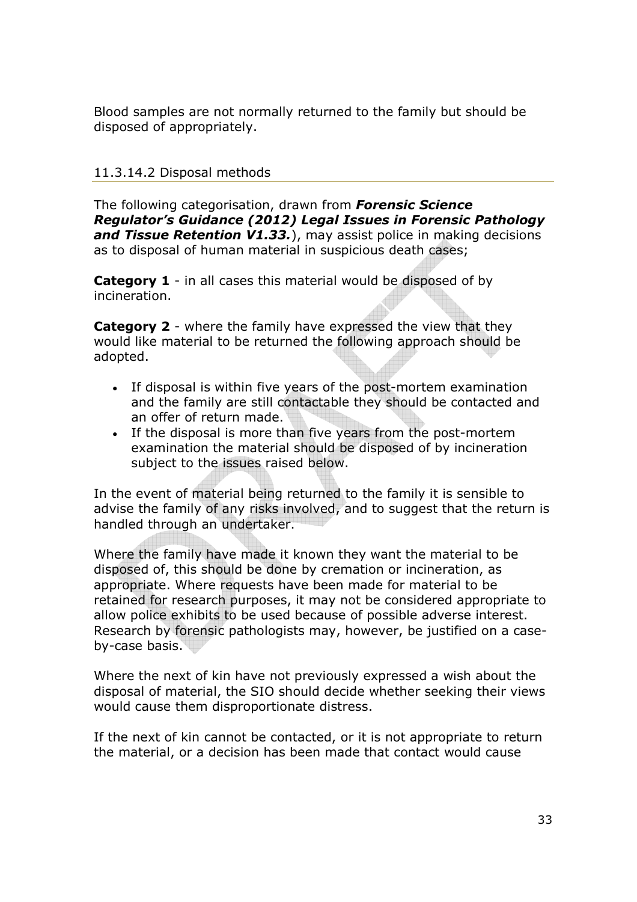Blood samples are not normally returned to the family but should be disposed of appropriately.

## 11.3.14.2 Disposal methods

The following categorisation, drawn from **Forensic Science** Regulator's Guidance (2012) Legal Issues in Forensic Pathology and Tissue Retention V1.33.), may assist police in making decisions as to disposal of human material in suspicious death cases;

**Category 1** - in all cases this material would be disposed of by incineration.

**Category 2** - where the family have expressed the view that they would like material to be returned the following approach should be adopted.

- If disposal is within five years of the post-mortem examination and the family are still contactable they should be contacted and an offer of return made.
- If the disposal is more than five years from the post-mortem examination the material should be disposed of by incineration subject to the issues raised below.

In the event of material being returned to the family it is sensible to advise the family of any risks involved, and to suggest that the return is handled through an undertaker.

Where the family have made it known they want the material to be disposed of, this should be done by cremation or incineration, as appropriate. Where requests have been made for material to be retained for research purposes, it may not be considered appropriate to allow police exhibits to be used because of possible adverse interest. Research by forensic pathologists may, however, be justified on a caseby-case basis.

Where the next of kin have not previously expressed a wish about the disposal of material, the SIO should decide whether seeking their views would cause them disproportionate distress.

If the next of kin cannot be contacted, or it is not appropriate to return the material, or a decision has been made that contact would cause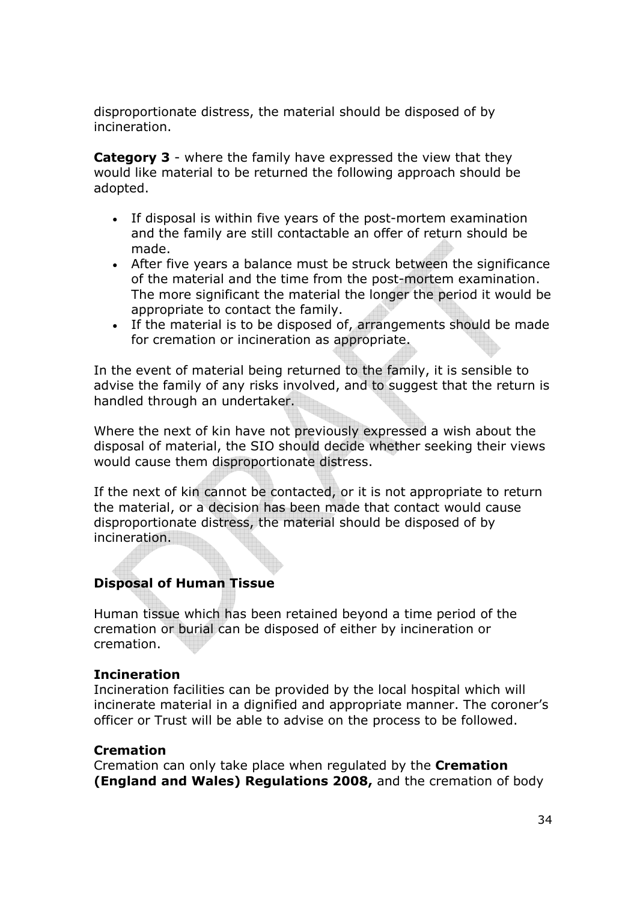disproportionate distress, the material should be disposed of by incineration.

**Category 3** - where the family have expressed the view that they would like material to be returned the following approach should be adopted.

- If disposal is within five years of the post-mortem examination and the family are still contactable an offer of return should be made.
- After five years a balance must be struck between the significance of the material and the time from the post-mortem examination. The more significant the material the longer the period it would be appropriate to contact the family.
- If the material is to be disposed of, arrangements should be made for cremation or incineration as appropriate.

In the event of material being returned to the family, it is sensible to advise the family of any risks involved, and to suggest that the return is handled through an undertaker.

Where the next of kin have not previously expressed a wish about the disposal of material, the SIO should decide whether seeking their views would cause them disproportionate distress.

If the next of kin cannot be contacted, or it is not appropriate to return the material, or a decision has been made that contact would cause disproportionate distress, the material should be disposed of by incineration.

#### Disposal of Human Tissue

Human tissue which has been retained beyond a time period of the cremation or burial can be disposed of either by incineration or cremation.

#### **Incineration**

Incineration facilities can be provided by the local hospital which will incinerate material in a dignified and appropriate manner. The coroner's officer or Trust will be able to advise on the process to be followed.

#### **Cremation**

Cremation can only take place when regulated by the Cremation (England and Wales) Regulations 2008, and the cremation of body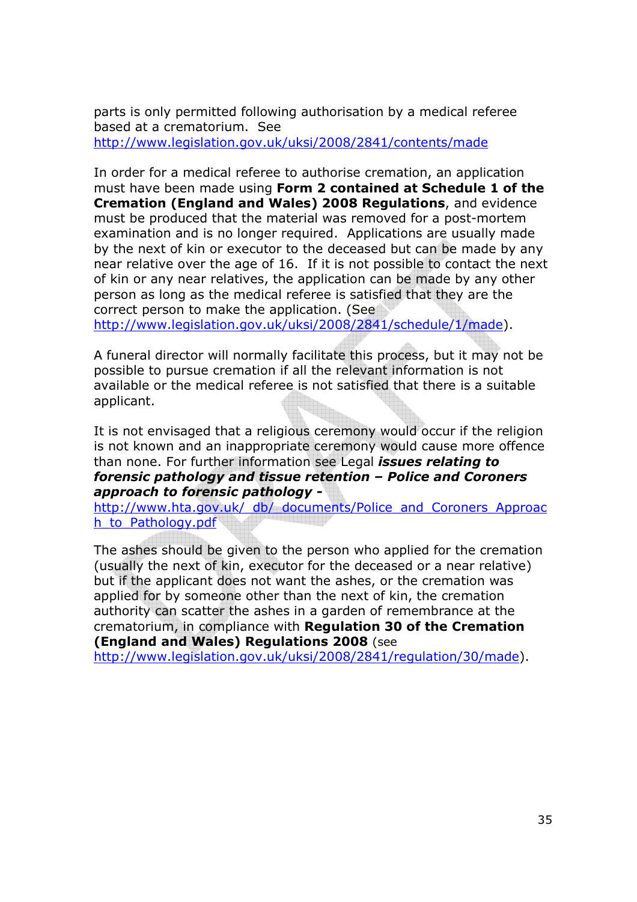parts is only permitted following authorisation by a medical referee based at a crematorium. See http://www.legislation.gov.uk/uksi/2008/2841/contents/made

In order for a medical referee to authorise cremation, an application must have been made using Form 2 contained at Schedule 1 of the Cremation (England and Wales) 2008 Regulations, and evidence must be produced that the material was removed for a post-mortem examination and is no longer required. Applications are usually made by the next of kin or executor to the deceased but can be made by any near relative over the age of 16. If it is not possible to contact the next of kin or any near relatives, the application can be made by any other person as long as the medical referee is satisfied that they are the correct person to make the application. (See

http://www.legislation.gov.uk/uksi/2008/2841/schedule/1/made).

A funeral director will normally facilitate this process, but it may not be possible to pursue cremation if all the relevant information is not available or the medical referee is not satisfied that there is a suitable applicant.

It is not envisaged that a religious ceremony would occur if the religion is not known and an inappropriate ceremony would cause more offence than none. For further information see Legal *issues relating to* forensic pathology and tissue retention – Police and Coroners approach to forensic pathology -

http://www.hta.gov.uk/ db/ documents/Police and Coroners Approac h\_to\_Pathology.pdf

The ashes should be given to the person who applied for the cremation (usually the next of kin, executor for the deceased or a near relative) but if the applicant does not want the ashes, or the cremation was applied for by someone other than the next of kin, the cremation authority can scatter the ashes in a garden of remembrance at the crematorium, in compliance with Regulation 30 of the Cremation (England and Wales) Regulations 2008 (see

http://www.legislation.gov.uk/uksi/2008/2841/regulation/30/made).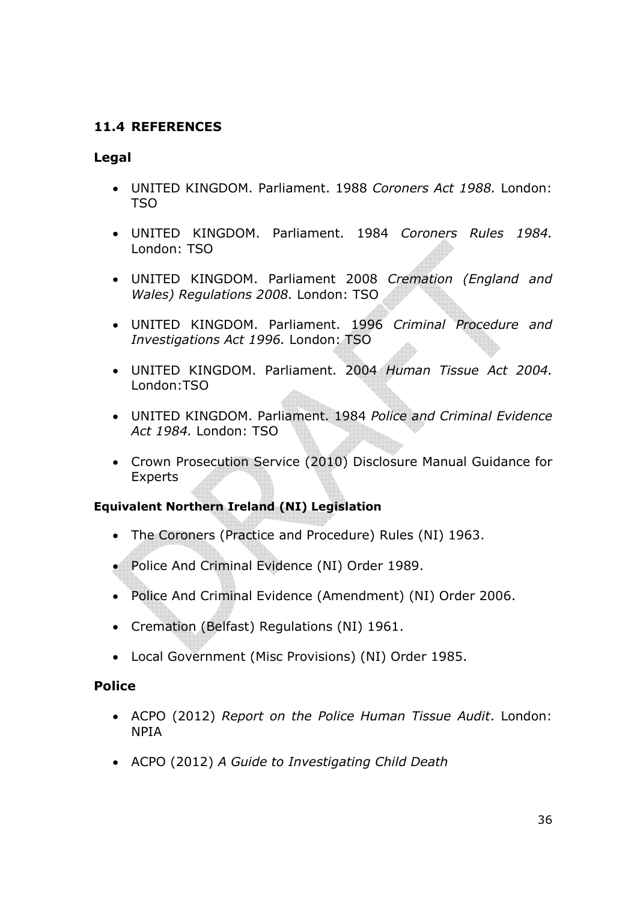## 11.4 REFERENCES

#### Legal

- UNITED KINGDOM. Parliament. 1988 Coroners Act 1988. London: TSO
- UNITED KINGDOM. Parliament. 1984 Coroners Rules 1984. London: TSO
- UNITED KINGDOM. Parliament 2008 Cremation (England and Wales) Regulations 2008. London: TSO
- UNITED KINGDOM. Parliament. 1996 Criminal Procedure and Investigations Act 1996. London: TSO
- UNITED KINGDOM. Parliament. 2004 Human Tissue Act 2004. London:TSO
- UNITED KINGDOM. Parliament. 1984 Police and Criminal Evidence Act 1984. London: TSO
- Crown Prosecution Service (2010) Disclosure Manual Guidance for Experts

#### Equivalent Northern Ireland (NI) Legislation

- The Coroners (Practice and Procedure) Rules (NI) 1963.
- Police And Criminal Evidence (NI) Order 1989.
- Police And Criminal Evidence (Amendment) (NI) Order 2006.
- Cremation (Belfast) Regulations (NI) 1961.
- Local Government (Misc Provisions) (NI) Order 1985.

#### Police

- ACPO (2012) Report on the Police Human Tissue Audit. London: NPIA
- ACPO (2012) A Guide to Investigating Child Death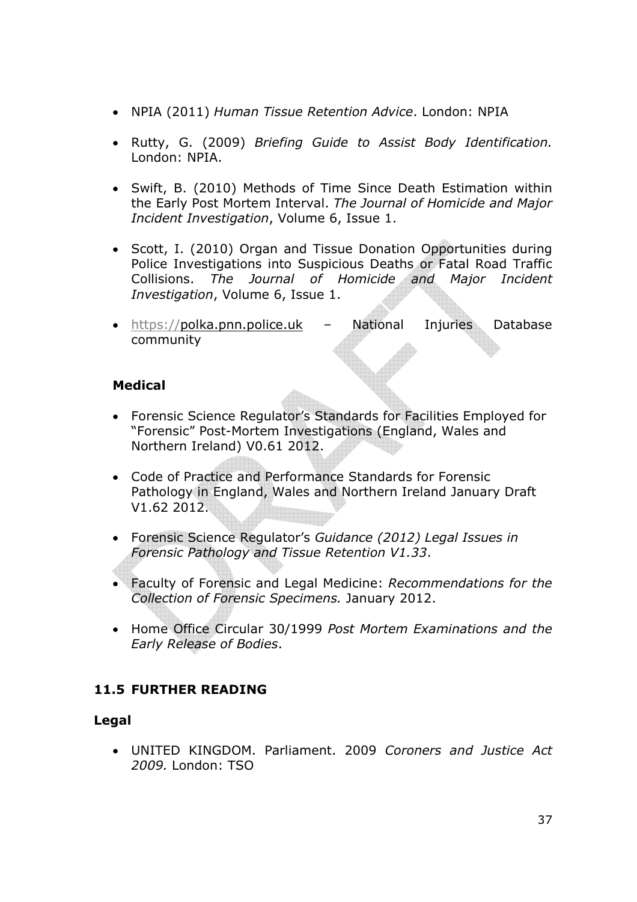- NPIA (2011) Human Tissue Retention Advice. London: NPIA
- Rutty, G. (2009) Briefing Guide to Assist Body Identification. London: NPIA.
- Swift, B. (2010) Methods of Time Since Death Estimation within the Early Post Mortem Interval. The Journal of Homicide and Major Incident Investigation, Volume 6, Issue 1.
- Scott, I. (2010) Organ and Tissue Donation Opportunities during Police Investigations into Suspicious Deaths or Fatal Road Traffic Collisions. The Journal of Homicide and Major Incident Investigation, Volume 6, Issue 1.
- https://polka.pnn.police.uk National Injuries Database community

## Medical

- Forensic Science Regulator's Standards for Facilities Employed for "Forensic" Post-Mortem Investigations (England, Wales and Northern Ireland) V0.61 2012.
- Code of Practice and Performance Standards for Forensic Pathology in England, Wales and Northern Ireland January Draft V1.62 2012.
- Forensic Science Regulator's Guidance (2012) Legal Issues in Forensic Pathology and Tissue Retention V1.33.
- Faculty of Forensic and Legal Medicine: Recommendations for the Collection of Forensic Specimens. January 2012.
- Home Office Circular 30/1999 Post Mortem Examinations and the Early Release of Bodies.

# 11.5 FURTHER READING

#### Legal

• UNITED KINGDOM. Parliament. 2009 Coroners and Justice Act 2009. London: TSO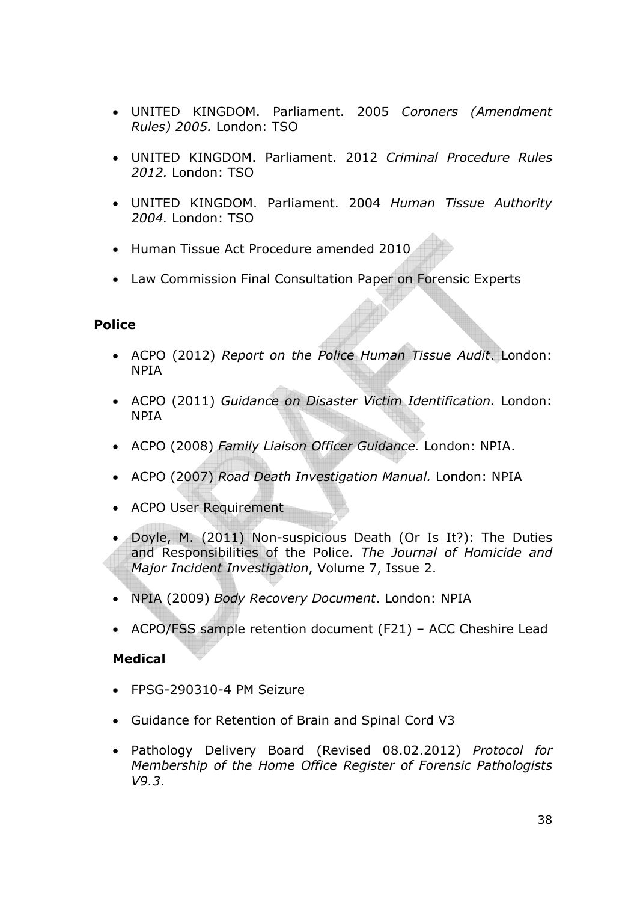- UNITED KINGDOM. Parliament. 2005 Coroners (Amendment Rules) 2005. London: TSO
- UNITED KINGDOM. Parliament. 2012 Criminal Procedure Rules 2012. London: TSO
- UNITED KINGDOM. Parliament. 2004 Human Tissue Authority 2004. London: TSO
- Human Tissue Act Procedure amended 2010
- Law Commission Final Consultation Paper on Forensic Experts

#### Police

- ACPO (2012) Report on the Police Human Tissue Audit. London: NPIA
- ACPO (2011) Guidance on Disaster Victim Identification. London: NPIA
- ACPO (2008) Family Liaison Officer Guidance. London: NPIA.
- ACPO (2007) Road Death Investigation Manual. London: NPIA
- ACPO User Requirement
- Doyle, M. (2011) Non-suspicious Death (Or Is It?): The Duties and Responsibilities of the Police. The Journal of Homicide and Major Incident Investigation, Volume 7, Issue 2.
- NPIA (2009) Body Recovery Document. London: NPIA
- ACPO/FSS sample retention document (F21) ACC Cheshire Lead

#### Medical

- FPSG-290310-4 PM Seizure
- Guidance for Retention of Brain and Spinal Cord V3
- Pathology Delivery Board (Revised 08.02.2012) Protocol for Membership of the Home Office Register of Forensic Pathologists V9.3.